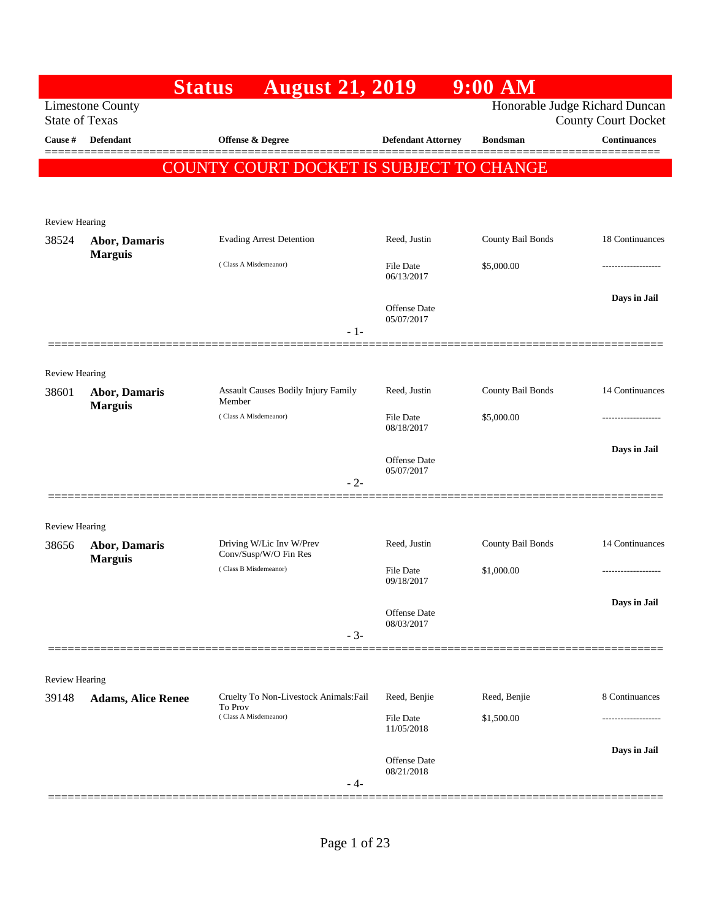|                       |                                                  | <b>August 21, 2019</b><br><b>Status</b>           |                                   | $9:00$ AM         |                                                              |
|-----------------------|--------------------------------------------------|---------------------------------------------------|-----------------------------------|-------------------|--------------------------------------------------------------|
|                       | <b>Limestone County</b><br><b>State of Texas</b> |                                                   |                                   |                   | Honorable Judge Richard Duncan<br><b>County Court Docket</b> |
| Cause #               | <b>Defendant</b>                                 | Offense & Degree                                  | <b>Defendant Attorney</b>         | <b>Bondsman</b>   | <b>Continuances</b>                                          |
|                       |                                                  | COUNTY COURT DOCKET IS SUBJECT TO CHANGE          |                                   |                   |                                                              |
|                       |                                                  |                                                   |                                   |                   |                                                              |
| <b>Review Hearing</b> |                                                  |                                                   |                                   |                   |                                                              |
| 38524                 | Abor, Damaris                                    | <b>Evading Arrest Detention</b>                   | Reed, Justin                      | County Bail Bonds | 18 Continuances                                              |
|                       | <b>Marguis</b>                                   | (Class A Misdemeanor)                             | <b>File Date</b><br>06/13/2017    | \$5,000.00        |                                                              |
|                       |                                                  |                                                   |                                   |                   | Days in Jail                                                 |
|                       |                                                  |                                                   | <b>Offense Date</b><br>05/07/2017 |                   |                                                              |
|                       |                                                  | $-1-$                                             |                                   |                   |                                                              |
| <b>Review Hearing</b> |                                                  |                                                   |                                   |                   |                                                              |
| 38601                 | Abor, Damaris                                    | Assault Causes Bodily Injury Family<br>Member     | Reed, Justin                      | County Bail Bonds | 14 Continuances                                              |
|                       | <b>Marguis</b>                                   | (Class A Misdemeanor)                             | <b>File Date</b><br>08/18/2017    | \$5,000.00        |                                                              |
|                       |                                                  |                                                   |                                   |                   | Days in Jail                                                 |
|                       |                                                  |                                                   | <b>Offense Date</b><br>05/07/2017 |                   |                                                              |
|                       |                                                  | $-2-$                                             |                                   |                   |                                                              |
| <b>Review Hearing</b> |                                                  |                                                   |                                   |                   |                                                              |
| 38656                 | <b>Abor, Damaris</b>                             | Driving W/Lic Inv W/Prev<br>Conv/Susp/W/O Fin Res | Reed, Justin                      | County Bail Bonds | 14 Continuances                                              |
|                       | <b>Marguis</b>                                   | (Class B Misdemeanor)                             | <b>File Date</b><br>09/18/2017    | \$1,000.00        |                                                              |
|                       |                                                  |                                                   |                                   |                   | Days in Jail                                                 |
|                       |                                                  |                                                   | Offense Date<br>08/03/2017        |                   |                                                              |
|                       |                                                  | $-3-$                                             |                                   |                   |                                                              |
| Review Hearing        |                                                  |                                                   |                                   |                   |                                                              |
| 39148                 | <b>Adams, Alice Renee</b>                        | Cruelty To Non-Livestock Animals: Fail<br>To Prov | Reed, Benjie                      | Reed, Benjie      | 8 Continuances                                               |
|                       |                                                  | (Class A Misdemeanor)                             | <b>File Date</b><br>11/05/2018    | \$1,500.00        |                                                              |
|                       |                                                  |                                                   |                                   |                   | Days in Jail                                                 |
|                       |                                                  |                                                   | Offense Date<br>08/21/2018        |                   |                                                              |
|                       |                                                  | - 4-                                              |                                   |                   |                                                              |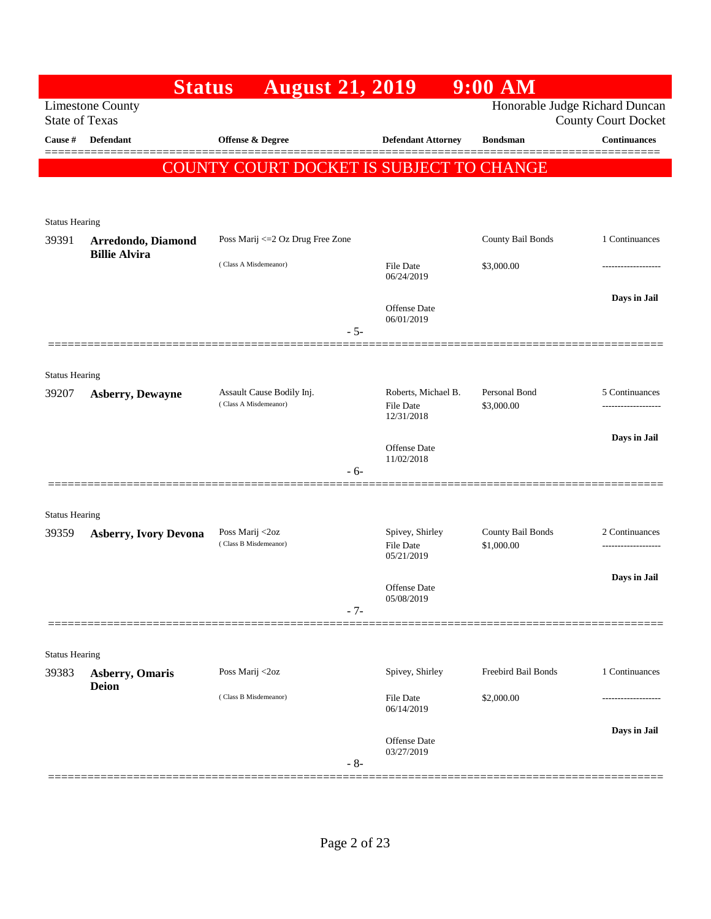|                       | <b>Status</b>                | <b>August 21, 2019</b>                             |                                                | $9:00$ AM                       |                                       |
|-----------------------|------------------------------|----------------------------------------------------|------------------------------------------------|---------------------------------|---------------------------------------|
| <b>State of Texas</b> | <b>Limestone County</b>      |                                                    |                                                | Honorable Judge Richard Duncan  | <b>County Court Docket</b>            |
| Cause #               | <b>Defendant</b>             | <b>Offense &amp; Degree</b>                        | <b>Defendant Attorney</b>                      | <b>Bondsman</b>                 | <b>Continuances</b>                   |
|                       |                              | COUNTY COURT DOCKET IS SUBJECT TO CHANGE           |                                                |                                 |                                       |
|                       |                              |                                                    |                                                |                                 |                                       |
| <b>Status Hearing</b> |                              |                                                    |                                                |                                 |                                       |
| 39391                 | Arredondo, Diamond           | Poss Marij <= 2 Oz Drug Free Zone                  |                                                | County Bail Bonds               | 1 Continuances                        |
|                       | <b>Billie Alvira</b>         | (Class A Misdemeanor)                              | <b>File Date</b><br>06/24/2019                 | \$3,000.00                      | ----------------                      |
|                       |                              | $-5-$                                              | Offense Date<br>06/01/2019                     |                                 | Days in Jail                          |
|                       |                              |                                                    |                                                |                                 |                                       |
| <b>Status Hearing</b> |                              |                                                    |                                                |                                 |                                       |
| 39207                 | <b>Asberry, Dewayne</b>      | Assault Cause Bodily Inj.<br>(Class A Misdemeanor) | Roberts, Michael B.<br>File Date<br>12/31/2018 | Personal Bond<br>\$3,000.00     | 5 Continuances<br>                    |
|                       |                              |                                                    | Offense Date<br>11/02/2018                     |                                 | Days in Jail                          |
|                       |                              | $-6-$                                              |                                                |                                 |                                       |
| <b>Status Hearing</b> |                              |                                                    |                                                |                                 |                                       |
| 39359                 | <b>Asberry, Ivory Devona</b> | Poss Marij <2oz<br>(Class B Misdemeanor)           | Spivey, Shirley<br>File Date<br>05/21/2019     | County Bail Bonds<br>\$1,000.00 | 2 Continuances<br>------------------- |
|                       |                              |                                                    | <b>Offense Date</b>                            |                                 | Days in Jail                          |
|                       |                              | $-7-$                                              | 05/08/2019                                     |                                 |                                       |
| <b>Status Hearing</b> |                              |                                                    |                                                |                                 |                                       |
| 39383                 | <b>Asberry, Omaris</b>       | Poss Marij <2oz                                    | Spivey, Shirley                                | Freebird Bail Bonds             | 1 Continuances                        |
|                       | <b>Deion</b>                 | (Class B Misdemeanor)                              | <b>File Date</b><br>06/14/2019                 | \$2,000.00                      |                                       |
|                       |                              | $-8-$                                              | <b>Offense</b> Date<br>03/27/2019              |                                 | Days in Jail                          |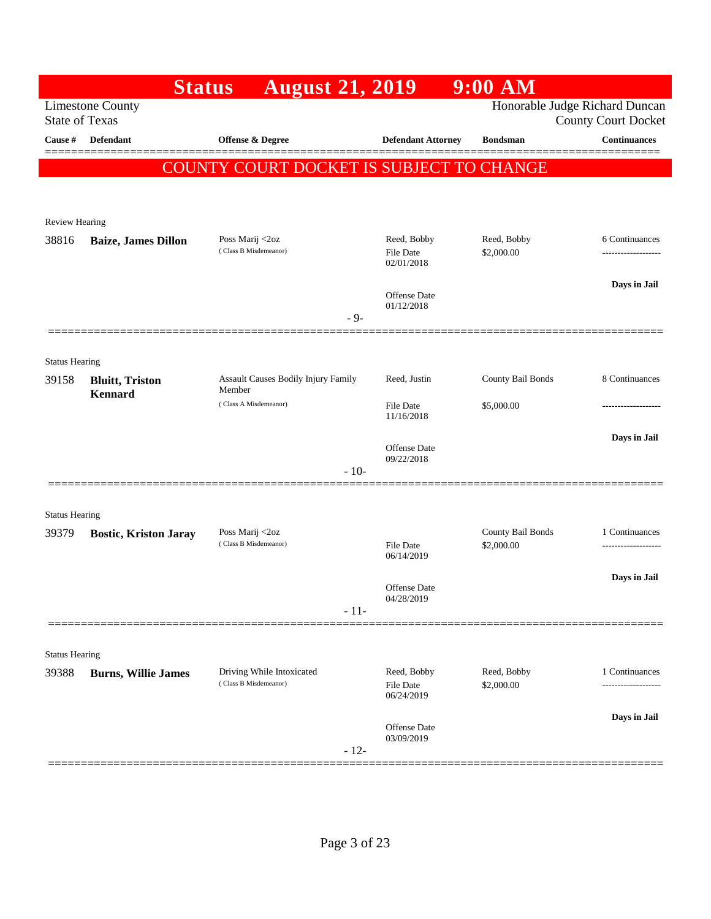|                       |                                                  | <b>August 21, 2019</b><br><b>Status</b>            |                                               | $9:00$ AM                       |                                                              |
|-----------------------|--------------------------------------------------|----------------------------------------------------|-----------------------------------------------|---------------------------------|--------------------------------------------------------------|
|                       | <b>Limestone County</b><br><b>State of Texas</b> |                                                    |                                               |                                 | Honorable Judge Richard Duncan<br><b>County Court Docket</b> |
| Cause #               | Defendant                                        | <b>Offense &amp; Degree</b>                        | <b>Defendant Attorney</b>                     | <b>Bondsman</b>                 | <b>Continuances</b>                                          |
|                       |                                                  | COUNTY COURT DOCKET IS SUBJECT TO CHANGE           |                                               |                                 |                                                              |
|                       |                                                  |                                                    |                                               |                                 |                                                              |
| Review Hearing        |                                                  |                                                    |                                               |                                 |                                                              |
| 38816                 | <b>Baize, James Dillon</b>                       | Poss Marij <2oz                                    | Reed, Bobby                                   | Reed, Bobby                     | 6 Continuances                                               |
|                       |                                                  | (Class B Misdemeanor)                              | <b>File Date</b><br>02/01/2018                | \$2,000.00                      |                                                              |
|                       |                                                  |                                                    |                                               |                                 | Days in Jail                                                 |
|                       |                                                  |                                                    | Offense Date<br>01/12/2018                    |                                 |                                                              |
|                       |                                                  |                                                    | $-9-$                                         |                                 |                                                              |
| <b>Status Hearing</b> |                                                  |                                                    |                                               |                                 |                                                              |
| 39158                 | <b>Bluitt</b> , Triston                          | Assault Causes Bodily Injury Family                | Reed, Justin                                  | County Bail Bonds               | 8 Continuances                                               |
|                       | <b>Kennard</b>                                   | Member<br>(Class A Misdemeanor)                    | File Date                                     | \$5,000.00                      | -----------------                                            |
|                       |                                                  |                                                    | 11/16/2018                                    |                                 |                                                              |
|                       |                                                  |                                                    | <b>Offense</b> Date<br>09/22/2018             |                                 | Days in Jail                                                 |
|                       |                                                  |                                                    | $-10-$                                        |                                 |                                                              |
|                       |                                                  |                                                    |                                               |                                 |                                                              |
| <b>Status Hearing</b> |                                                  |                                                    |                                               |                                 |                                                              |
| 39379                 | <b>Bostic, Kriston Jaray</b>                     | Poss Marij <2oz<br>(Class B Misdemeanor)           | <b>File Date</b>                              | County Bail Bonds<br>\$2,000.00 | 1 Continuances<br>----------------                           |
|                       |                                                  |                                                    | 06/14/2019                                    |                                 |                                                              |
|                       |                                                  |                                                    | <b>Offense</b> Date                           |                                 | Days in Jail                                                 |
|                       |                                                  |                                                    | 04/28/2019<br>$-11-$                          |                                 |                                                              |
|                       |                                                  |                                                    |                                               |                                 |                                                              |
| <b>Status Hearing</b> |                                                  |                                                    |                                               |                                 |                                                              |
| 39388                 | <b>Burns, Willie James</b>                       | Driving While Intoxicated<br>(Class B Misdemeanor) | Reed, Bobby<br><b>File Date</b><br>06/24/2019 | Reed, Bobby<br>\$2,000.00       | 1 Continuances<br>--------                                   |
|                       |                                                  |                                                    | Offense Date                                  |                                 | Days in Jail                                                 |
|                       |                                                  |                                                    | 03/09/2019<br>$-12-$                          |                                 |                                                              |
|                       |                                                  |                                                    |                                               |                                 |                                                              |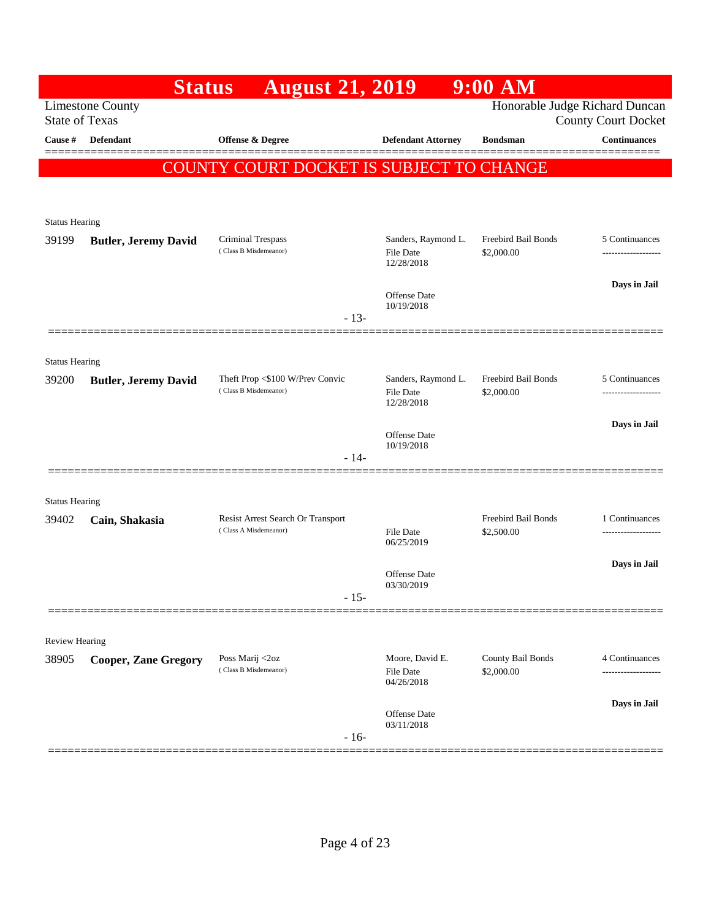|                                | <b>Status</b>               | <b>August 21, 2019</b>                                   |                                                | 9:00 AM                           |                                     |
|--------------------------------|-----------------------------|----------------------------------------------------------|------------------------------------------------|-----------------------------------|-------------------------------------|
| <b>State of Texas</b>          | <b>Limestone County</b>     |                                                          |                                                | Honorable Judge Richard Duncan    | <b>County Court Docket</b>          |
| Cause #                        | Defendant                   | Offense & Degree                                         | <b>Defendant Attorney</b>                      | <b>Bondsman</b>                   | <b>Continuances</b>                 |
|                                |                             | COUNTY COURT DOCKET IS SUBJECT TO CHANGE                 |                                                |                                   |                                     |
|                                |                             |                                                          |                                                |                                   |                                     |
|                                |                             |                                                          |                                                |                                   |                                     |
| <b>Status Hearing</b>          |                             |                                                          |                                                |                                   |                                     |
| 39199                          | <b>Butler, Jeremy David</b> | Criminal Trespass<br>(Class B Misdemeanor)               | Sanders, Raymond L.<br>File Date<br>12/28/2018 | Freebird Bail Bonds<br>\$2,000.00 | 5 Continuances<br>----------------- |
|                                |                             |                                                          |                                                |                                   | Days in Jail                        |
|                                |                             |                                                          | Offense Date<br>10/19/2018                     |                                   |                                     |
|                                |                             | $-13-$                                                   |                                                |                                   |                                     |
|                                |                             |                                                          |                                                |                                   |                                     |
| <b>Status Hearing</b><br>39200 | <b>Butler, Jeremy David</b> | Theft Prop <\$100 W/Prev Convic<br>(Class B Misdemeanor) | Sanders, Raymond L.                            | Freebird Bail Bonds<br>\$2,000.00 | 5 Continuances                      |
|                                |                             |                                                          | <b>File Date</b><br>12/28/2018                 |                                   | ------------------                  |
|                                |                             |                                                          |                                                |                                   | Days in Jail                        |
|                                |                             |                                                          | <b>Offense</b> Date<br>10/19/2018              |                                   |                                     |
|                                | 200000000000000             | - 14-                                                    |                                                |                                   |                                     |
|                                |                             |                                                          |                                                |                                   |                                     |
| <b>Status Hearing</b><br>39402 | Cain, Shakasia              | Resist Arrest Search Or Transport                        |                                                | Freebird Bail Bonds               | 1 Continuances                      |
|                                |                             | (Class A Misdemeanor)                                    | <b>File Date</b><br>06/25/2019                 | \$2,500.00                        | -------------------                 |
|                                |                             |                                                          |                                                |                                   | Days in Jail                        |
|                                |                             |                                                          | <b>Offense</b> Date<br>03/30/2019              |                                   |                                     |
|                                |                             | - 15-                                                    |                                                |                                   |                                     |
|                                |                             |                                                          |                                                |                                   |                                     |
| Review Hearing<br>38905        | <b>Cooper, Zane Gregory</b> | Poss Marij <2oz                                          | Moore, David E.                                | County Bail Bonds                 | 4 Continuances                      |
|                                |                             | (Class B Misdemeanor)                                    | File Date<br>04/26/2018                        | \$2,000.00                        |                                     |
|                                |                             |                                                          |                                                |                                   | Days in Jail                        |
|                                |                             |                                                          | Offense Date<br>03/11/2018                     |                                   |                                     |
|                                |                             | $-16-$                                                   |                                                |                                   |                                     |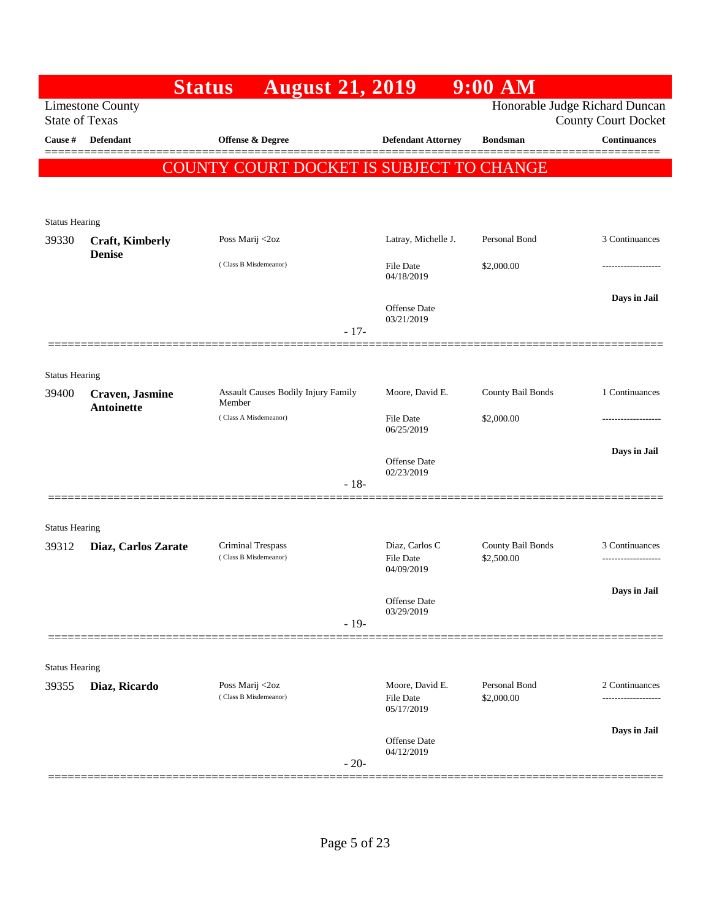|                       |                         | <b>August 21, 2019</b><br><b>Status</b>       |                                                   | 9:00 AM                     |                                                              |
|-----------------------|-------------------------|-----------------------------------------------|---------------------------------------------------|-----------------------------|--------------------------------------------------------------|
| <b>State of Texas</b> | <b>Limestone County</b> |                                               |                                                   |                             | Honorable Judge Richard Duncan<br><b>County Court Docket</b> |
| Cause #               | <b>Defendant</b>        | Offense & Degree                              | <b>Defendant Attorney</b>                         | <b>Bondsman</b>             | <b>Continuances</b>                                          |
|                       |                         | COUNTY COURT DOCKET IS SUBJECT TO CHANGE      |                                                   |                             |                                                              |
|                       |                         |                                               |                                                   |                             |                                                              |
| <b>Status Hearing</b> |                         |                                               |                                                   |                             |                                                              |
| 39330                 | <b>Craft, Kimberly</b>  | Poss Marij <2oz                               | Latray, Michelle J.                               | Personal Bond               | 3 Continuances                                               |
|                       | <b>Denise</b>           | (Class B Misdemeanor)                         | File Date<br>04/18/2019                           | \$2,000.00                  | .                                                            |
|                       |                         |                                               | <b>Offense</b> Date<br>03/21/2019<br>$-17-$       |                             | Days in Jail                                                 |
|                       |                         |                                               |                                                   |                             |                                                              |
| <b>Status Hearing</b> |                         |                                               |                                                   |                             |                                                              |
| 39400                 | Craven, Jasmine         | Assault Causes Bodily Injury Family<br>Member | Moore, David E.                                   | County Bail Bonds           | 1 Continuances                                               |
|                       | <b>Antoinette</b>       | (Class A Misdemeanor)                         | File Date<br>06/25/2019                           | \$2,000.00                  | .                                                            |
|                       |                         |                                               |                                                   |                             | Days in Jail                                                 |
|                       |                         |                                               | <b>Offense</b> Date<br>02/23/2019                 |                             |                                                              |
|                       |                         |                                               | $-18-$                                            |                             |                                                              |
| <b>Status Hearing</b> |                         |                                               |                                                   |                             |                                                              |
| 39312                 | Diaz, Carlos Zarate     | Criminal Trespass<br>(Class B Misdemeanor)    | Diaz, Carlos C                                    | County Bail Bonds           | 3 Continuances                                               |
|                       |                         |                                               | <b>File Date</b><br>04/09/2019                    | \$2,500.00                  |                                                              |
|                       |                         |                                               | Offense Date                                      |                             | Days in Jail                                                 |
|                       |                         |                                               | 03/29/2019<br>$-19-$                              |                             |                                                              |
|                       |                         |                                               |                                                   |                             |                                                              |
| <b>Status Hearing</b> |                         |                                               |                                                   |                             |                                                              |
| 39355                 | Diaz, Ricardo           | Poss Marij <2oz<br>(Class B Misdemeanor)      | Moore, David E.<br><b>File Date</b><br>05/17/2019 | Personal Bond<br>\$2,000.00 | 2 Continuances<br>.                                          |
|                       |                         |                                               | Offense Date<br>04/12/2019<br>$-20-$              |                             | Days in Jail                                                 |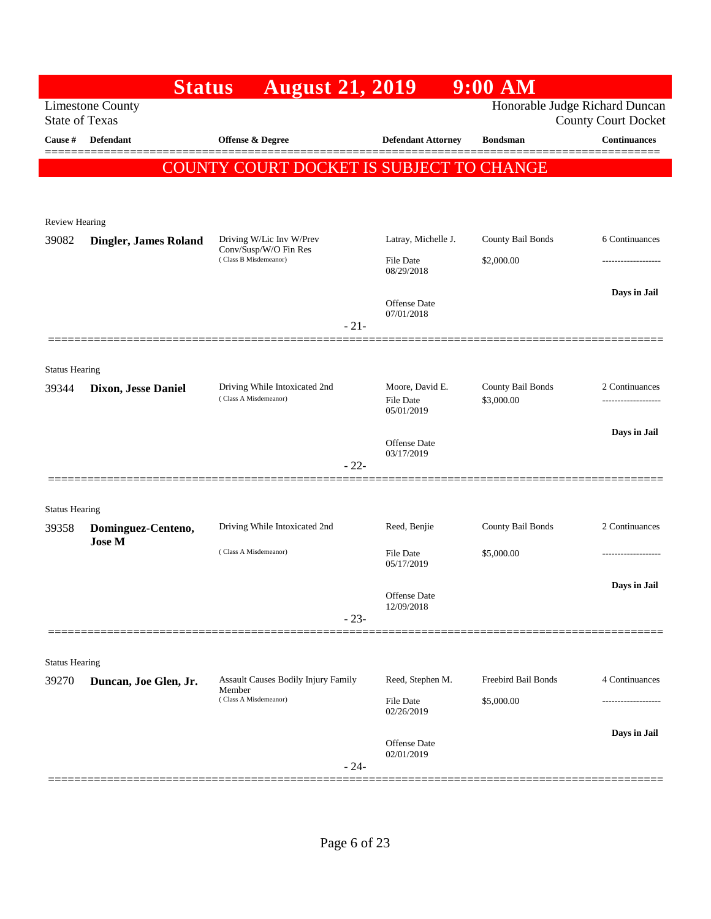|                       | <b>Status</b>                                    | <b>August 21, 2019</b>                                 |                                     | 9:00 AM                         |                                                              |
|-----------------------|--------------------------------------------------|--------------------------------------------------------|-------------------------------------|---------------------------------|--------------------------------------------------------------|
|                       | <b>Limestone County</b><br><b>State of Texas</b> |                                                        |                                     |                                 | Honorable Judge Richard Duncan<br><b>County Court Docket</b> |
| Cause #               | Defendant                                        | <b>Offense &amp; Degree</b>                            | <b>Defendant Attorney</b>           | <b>Bondsman</b>                 | <b>Continuances</b>                                          |
|                       |                                                  | COUNTY COURT DOCKET IS SUBJECT TO CHANGE               |                                     |                                 |                                                              |
|                       |                                                  |                                                        |                                     |                                 |                                                              |
| <b>Review Hearing</b> |                                                  |                                                        |                                     |                                 |                                                              |
| 39082                 | <b>Dingler, James Roland</b>                     | Driving W/Lic Inv W/Prev<br>Conv/Susp/W/O Fin Res      | Latray, Michelle J.                 | County Bail Bonds               | 6 Continuances                                               |
|                       |                                                  | (Class B Misdemeanor)                                  | <b>File Date</b><br>08/29/2018      | \$2,000.00                      |                                                              |
|                       |                                                  |                                                        | Offense Date                        |                                 | Days in Jail                                                 |
|                       |                                                  | $-21-$                                                 | 07/01/2018                          |                                 |                                                              |
|                       |                                                  |                                                        |                                     |                                 |                                                              |
| <b>Status Hearing</b> |                                                  |                                                        |                                     |                                 |                                                              |
| 39344                 | <b>Dixon, Jesse Daniel</b>                       | Driving While Intoxicated 2nd<br>(Class A Misdemeanor) | Moore, David E.<br><b>File Date</b> | County Bail Bonds<br>\$3,000.00 | 2 Continuances<br>.                                          |
|                       |                                                  |                                                        | 05/01/2019                          |                                 | Days in Jail                                                 |
|                       |                                                  |                                                        | <b>Offense</b> Date<br>03/17/2019   |                                 |                                                              |
|                       |                                                  | $-22-$                                                 |                                     |                                 |                                                              |
| <b>Status Hearing</b> |                                                  |                                                        |                                     |                                 |                                                              |
| 39358                 | Dominguez-Centeno,                               | Driving While Intoxicated 2nd                          | Reed, Benjie                        | County Bail Bonds               | 2 Continuances                                               |
|                       | <b>Jose M</b>                                    | (Class A Misdemeanor)                                  | <b>File Date</b><br>05/17/2019      | \$5,000.00                      | ------------------                                           |
|                       |                                                  |                                                        |                                     |                                 | Days in Jail                                                 |
|                       |                                                  |                                                        | Offense Date<br>12/09/2018          |                                 |                                                              |
|                       |                                                  | $-23-$                                                 |                                     |                                 |                                                              |
| <b>Status Hearing</b> |                                                  |                                                        |                                     |                                 |                                                              |
| 39270                 | Duncan, Joe Glen, Jr.                            | <b>Assault Causes Bodily Injury Family</b><br>Member   | Reed, Stephen M.                    | Freebird Bail Bonds             | 4 Continuances                                               |
|                       |                                                  | (Class A Misdemeanor)                                  | <b>File Date</b><br>02/26/2019      | \$5,000.00                      |                                                              |
|                       |                                                  |                                                        | Offense Date                        |                                 | Days in Jail                                                 |
|                       |                                                  | $-24-$                                                 | 02/01/2019                          |                                 |                                                              |
|                       |                                                  |                                                        |                                     |                                 |                                                              |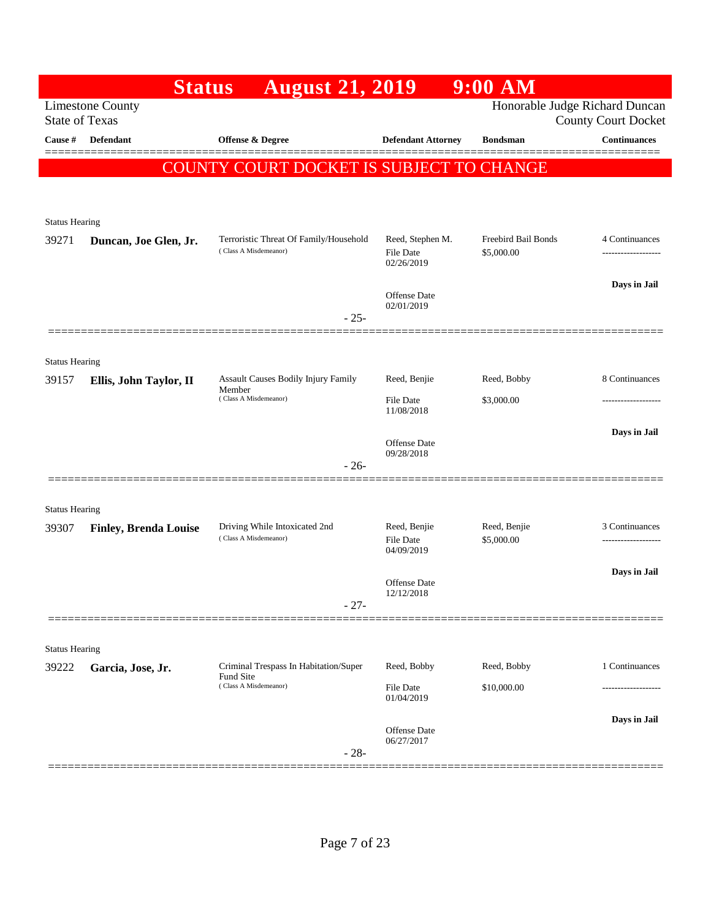|                                | <b>Status</b>                | <b>August 21, 2019</b>                                          |                                             | $9:00$ AM                         |                            |
|--------------------------------|------------------------------|-----------------------------------------------------------------|---------------------------------------------|-----------------------------------|----------------------------|
| <b>State of Texas</b>          | <b>Limestone County</b>      |                                                                 |                                             | Honorable Judge Richard Duncan    | <b>County Court Docket</b> |
| Cause #                        | <b>Defendant</b>             | <b>Offense &amp; Degree</b>                                     | <b>Defendant Attorney</b>                   | <b>Bondsman</b>                   | <b>Continuances</b>        |
|                                |                              | COUNTY COURT DOCKET IS SUBJECT TO CHANGE                        |                                             |                                   |                            |
|                                |                              |                                                                 |                                             |                                   |                            |
|                                |                              |                                                                 |                                             |                                   |                            |
| <b>Status Hearing</b>          |                              |                                                                 |                                             |                                   |                            |
| 39271                          | Duncan, Joe Glen, Jr.        | Terroristic Threat Of Family/Household<br>(Class A Misdemeanor) | Reed, Stephen M.<br>File Date<br>02/26/2019 | Freebird Bail Bonds<br>\$5,000.00 | 4 Continuances             |
|                                |                              |                                                                 | Offense Date<br>02/01/2019                  |                                   | Days in Jail               |
|                                |                              | $-25-$                                                          |                                             |                                   |                            |
|                                |                              |                                                                 |                                             |                                   |                            |
| <b>Status Hearing</b>          |                              |                                                                 |                                             |                                   |                            |
| 39157                          | Ellis, John Taylor, II       | <b>Assault Causes Bodily Injury Family</b><br>Member            | Reed, Benjie                                | Reed, Bobby                       | 8 Continuances             |
|                                |                              | (Class A Misdemeanor)                                           | <b>File Date</b><br>11/08/2018              | \$3,000.00                        | -----------------          |
|                                |                              |                                                                 | Offense Date                                |                                   | Days in Jail               |
|                                |                              |                                                                 | 09/28/2018                                  |                                   |                            |
|                                |                              | $-26-$                                                          |                                             |                                   |                            |
| <b>Status Hearing</b>          |                              |                                                                 |                                             |                                   |                            |
| 39307                          | <b>Finley, Brenda Louise</b> | Driving While Intoxicated 2nd                                   | Reed, Benjie                                | Reed, Benjie                      | 3 Continuances             |
|                                |                              | (Class A Misdemeanor)                                           | File Date<br>04/09/2019                     | \$5,000.00                        |                            |
|                                |                              |                                                                 |                                             |                                   | Days in Jail               |
|                                |                              |                                                                 | Offense Date<br>12/12/2018                  |                                   |                            |
|                                |                              | $-27-$                                                          |                                             |                                   |                            |
|                                |                              |                                                                 |                                             |                                   |                            |
| <b>Status Hearing</b><br>39222 | Garcia, Jose, Jr.            | Criminal Trespass In Habitation/Super                           | Reed, Bobby                                 | Reed, Bobby                       | 1 Continuances             |
|                                |                              | Fund Site<br>(Class A Misdemeanor)                              | <b>File Date</b><br>01/04/2019              | \$10,000.00                       | -----------------          |
|                                |                              |                                                                 |                                             |                                   | Days in Jail               |
|                                |                              | $-28-$                                                          | Offense Date<br>06/27/2017                  |                                   |                            |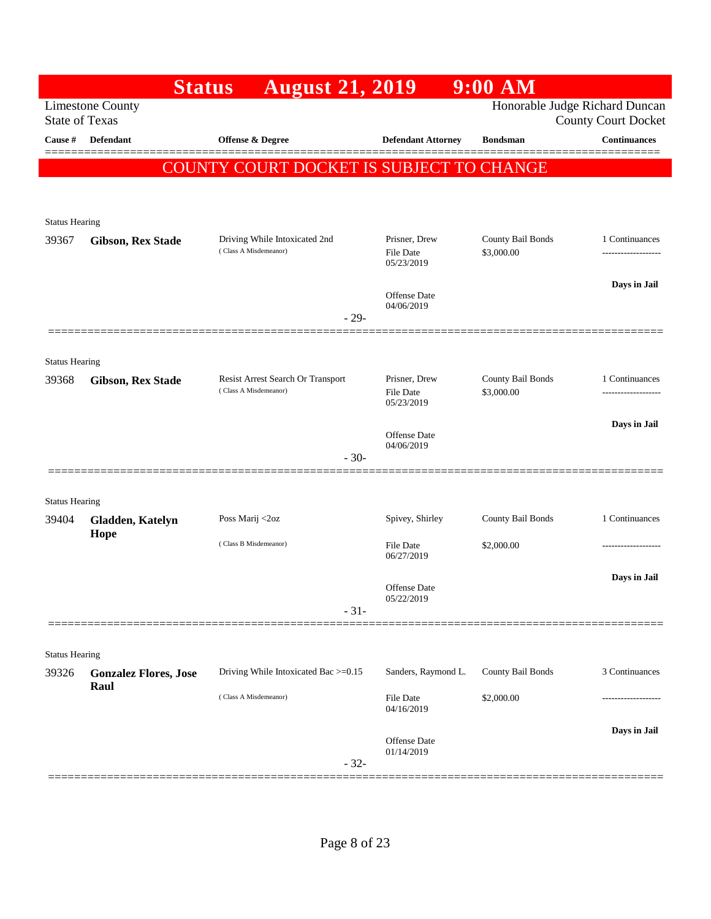|                                | <b>Status</b>                | <b>August 21, 2019</b>                                     |                                   | 9:00 AM                         |                                       |
|--------------------------------|------------------------------|------------------------------------------------------------|-----------------------------------|---------------------------------|---------------------------------------|
| <b>State of Texas</b>          | <b>Limestone County</b>      |                                                            |                                   | Honorable Judge Richard Duncan  | <b>County Court Docket</b>            |
| Cause #                        | Defendant                    | Offense & Degree                                           | <b>Defendant Attorney</b>         | <b>Bondsman</b>                 | <b>Continuances</b>                   |
|                                |                              | COUNTY COURT DOCKET IS SUBJECT TO CHANGE                   |                                   |                                 |                                       |
|                                |                              |                                                            |                                   |                                 |                                       |
| <b>Status Hearing</b>          |                              |                                                            |                                   |                                 |                                       |
| 39367                          | <b>Gibson, Rex Stade</b>     | Driving While Intoxicated 2nd                              | Prisner, Drew                     | County Bail Bonds               | 1 Continuances                        |
|                                |                              | (Class A Misdemeanor)                                      | <b>File Date</b><br>05/23/2019    | \$3,000.00                      | -----------------                     |
|                                |                              |                                                            | Offense Date                      |                                 | Days in Jail                          |
|                                |                              | $-29-$                                                     | 04/06/2019                        |                                 |                                       |
|                                |                              |                                                            |                                   |                                 |                                       |
| <b>Status Hearing</b>          |                              |                                                            |                                   |                                 |                                       |
| 39368                          | <b>Gibson, Rex Stade</b>     | Resist Arrest Search Or Transport<br>(Class A Misdemeanor) | Prisner, Drew<br><b>File Date</b> | County Bail Bonds<br>\$3,000.00 | 1 Continuances<br>------------------- |
|                                |                              |                                                            | 05/23/2019                        |                                 |                                       |
|                                |                              |                                                            | <b>Offense Date</b><br>04/06/2019 |                                 | Days in Jail                          |
|                                | ===============              | $-30-$                                                     |                                   |                                 |                                       |
| <b>Status Hearing</b>          |                              |                                                            |                                   |                                 |                                       |
| 39404                          | Gladden, Katelyn             | Poss Marij <2oz                                            | Spivey, Shirley                   | County Bail Bonds               | 1 Continuances                        |
|                                | Hope                         | (Class B Misdemeanor)                                      | File Date                         | \$2,000.00                      |                                       |
|                                |                              |                                                            | 06/27/2019                        |                                 |                                       |
|                                |                              |                                                            | Offense Date<br>05/22/2019        |                                 | Days in Jail                          |
|                                |                              | $-31-$                                                     |                                   |                                 |                                       |
|                                |                              |                                                            |                                   |                                 |                                       |
| <b>Status Hearing</b><br>39326 | <b>Gonzalez Flores, Jose</b> | Driving While Intoxicated Bac >=0.15                       | Sanders, Raymond L.               | County Bail Bonds               | 3 Continuances                        |
|                                | Raul                         | (Class A Misdemeanor)                                      | File Date                         | \$2,000.00                      |                                       |
|                                |                              |                                                            | 04/16/2019                        |                                 |                                       |
|                                |                              |                                                            | Offense Date<br>01/14/2019        |                                 | Days in Jail                          |
|                                |                              | $-32-$                                                     |                                   |                                 |                                       |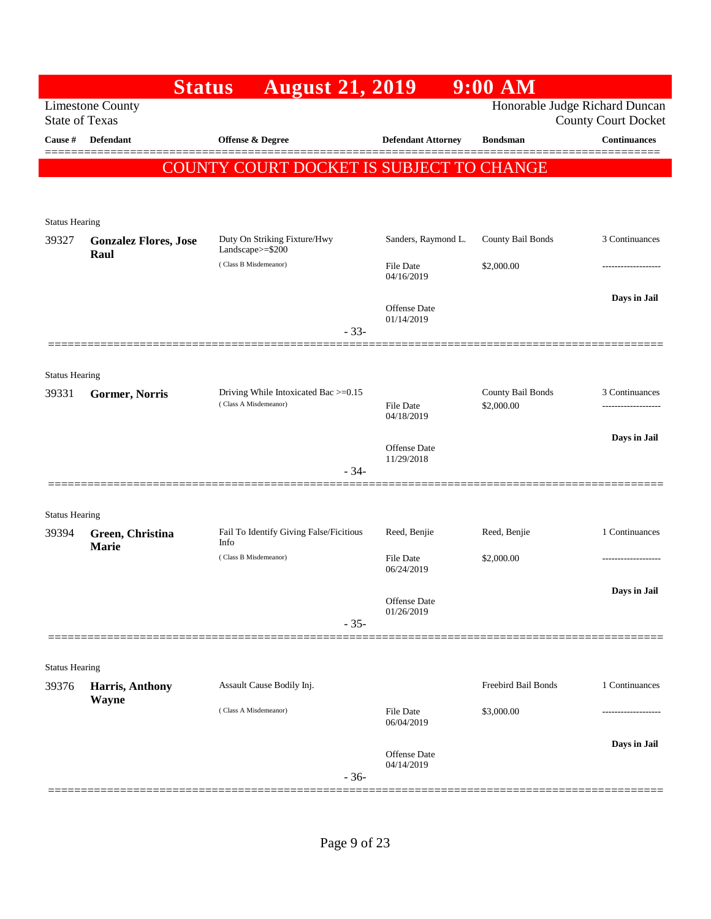|                       | <b>Status</b>                                    | <b>August 21, 2019</b>                                        |                                | $9:00$ AM                       |                                                              |
|-----------------------|--------------------------------------------------|---------------------------------------------------------------|--------------------------------|---------------------------------|--------------------------------------------------------------|
|                       | <b>Limestone County</b><br><b>State of Texas</b> |                                                               |                                |                                 | Honorable Judge Richard Duncan<br><b>County Court Docket</b> |
| Cause #               | Defendant                                        | Offense & Degree                                              | <b>Defendant Attorney</b>      | <b>Bondsman</b>                 | <b>Continuances</b>                                          |
|                       |                                                  | COUNTY COURT DOCKET IS SUBJECT TO CHANGE                      |                                |                                 | ======                                                       |
|                       |                                                  |                                                               |                                |                                 |                                                              |
| <b>Status Hearing</b> |                                                  |                                                               |                                |                                 |                                                              |
| 39327                 | <b>Gonzalez Flores, Jose</b>                     | Duty On Striking Fixture/Hwy<br>Landscape>=\$200              | Sanders, Raymond L.            | County Bail Bonds               | 3 Continuances                                               |
|                       | Raul                                             | (Class B Misdemeanor)                                         | File Date<br>04/16/2019        | \$2,000.00                      |                                                              |
|                       |                                                  | $-33-$                                                        | Offense Date<br>01/14/2019     |                                 | Days in Jail                                                 |
|                       |                                                  |                                                               |                                |                                 |                                                              |
| <b>Status Hearing</b> |                                                  |                                                               |                                |                                 |                                                              |
| 39331                 | Gormer, Norris                                   | Driving While Intoxicated Bac >=0.15<br>(Class A Misdemeanor) | <b>File Date</b><br>04/18/2019 | County Bail Bonds<br>\$2,000.00 | 3 Continuances<br>-----------------                          |
|                       |                                                  |                                                               | Offense Date                   |                                 | Days in Jail                                                 |
|                       |                                                  | $-34-$                                                        | 11/29/2018                     |                                 |                                                              |
| <b>Status Hearing</b> |                                                  |                                                               |                                |                                 |                                                              |
| 39394                 | Green, Christina                                 | Fail To Identify Giving False/Ficitious<br>Info               | Reed, Benjie                   | Reed, Benjie                    | 1 Continuances                                               |
|                       | <b>Marie</b>                                     | (Class B Misdemeanor)                                         | <b>File Date</b><br>06/24/2019 | \$2,000.00                      |                                                              |
|                       |                                                  |                                                               | Offense Date                   |                                 | Days in Jail                                                 |
|                       |                                                  | $-35-$                                                        | 01/26/2019                     |                                 |                                                              |
|                       |                                                  |                                                               |                                |                                 |                                                              |
| <b>Status Hearing</b> |                                                  | Assault Cause Bodily Inj.                                     |                                | Freebird Bail Bonds             | 1 Continuances                                               |
| 39376                 | <b>Harris, Anthony</b><br>Wayne                  | (Class A Misdemeanor)                                         |                                |                                 |                                                              |
|                       |                                                  |                                                               | <b>File Date</b><br>06/04/2019 | \$3,000.00                      |                                                              |
|                       |                                                  |                                                               | Offense Date<br>04/14/2019     |                                 | Days in Jail                                                 |
|                       |                                                  | $-36-$                                                        |                                |                                 |                                                              |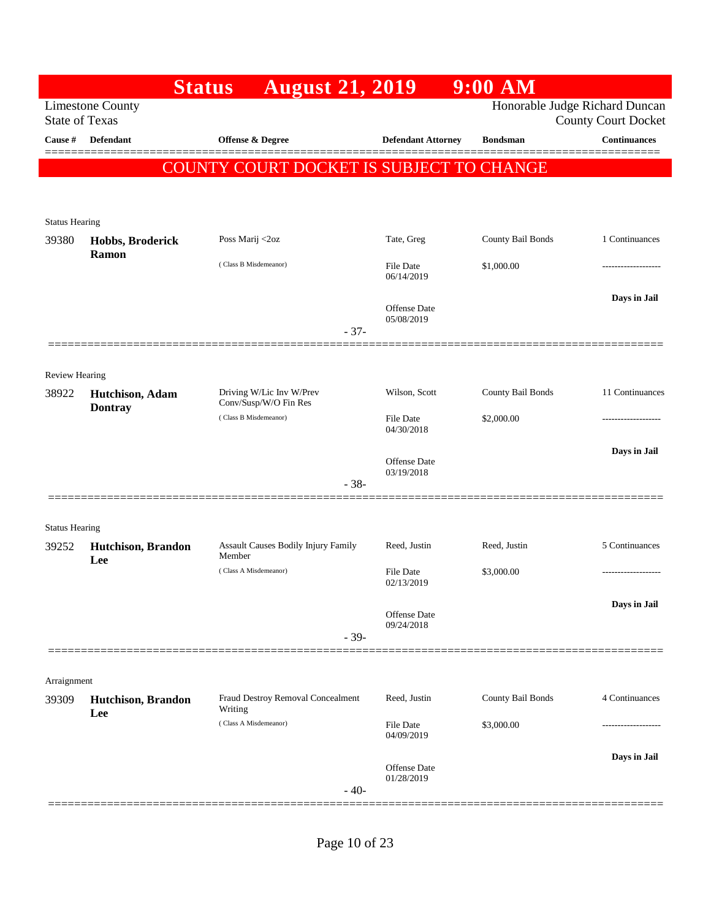|                       | <b>Status</b>                                    | <b>August 21, 2019</b>                            |                           | $9:00$ AM         |                                                              |
|-----------------------|--------------------------------------------------|---------------------------------------------------|---------------------------|-------------------|--------------------------------------------------------------|
|                       | <b>Limestone County</b><br><b>State of Texas</b> |                                                   |                           |                   | Honorable Judge Richard Duncan<br><b>County Court Docket</b> |
| Cause #               | <b>Defendant</b>                                 | <b>Offense &amp; Degree</b>                       | <b>Defendant Attorney</b> | <b>Bondsman</b>   | <b>Continuances</b>                                          |
|                       |                                                  |                                                   |                           |                   |                                                              |
|                       |                                                  | COUNTY COURT DOCKET IS SUBJECT TO CHANGE          |                           |                   |                                                              |
|                       |                                                  |                                                   |                           |                   |                                                              |
| <b>Status Hearing</b> |                                                  |                                                   |                           |                   |                                                              |
| 39380                 | Hobbs, Broderick                                 | Poss Marij <2oz                                   | Tate, Greg                | County Bail Bonds | 1 Continuances                                               |
|                       | Ramon                                            | (Class B Misdemeanor)                             | File Date                 | \$1,000.00        |                                                              |
|                       |                                                  |                                                   | 06/14/2019                |                   |                                                              |
|                       |                                                  |                                                   | <b>Offense Date</b>       |                   | Days in Jail                                                 |
|                       |                                                  | $-37-$                                            | 05/08/2019                |                   |                                                              |
|                       |                                                  |                                                   |                           |                   |                                                              |
| <b>Review Hearing</b> |                                                  |                                                   |                           |                   |                                                              |
| 38922                 | Hutchison, Adam                                  | Driving W/Lic Inv W/Prev<br>Conv/Susp/W/O Fin Res | Wilson, Scott             | County Bail Bonds | 11 Continuances                                              |
|                       | <b>Dontray</b>                                   | (Class B Misdemeanor)                             | File Date                 | \$2,000.00        | ------------------                                           |
|                       |                                                  |                                                   | 04/30/2018                |                   |                                                              |
|                       |                                                  |                                                   | <b>Offense Date</b>       |                   | Days in Jail                                                 |
|                       |                                                  | $-38-$                                            | 03/19/2018                |                   |                                                              |
|                       |                                                  |                                                   |                           |                   |                                                              |
| <b>Status Hearing</b> |                                                  |                                                   |                           |                   |                                                              |
| 39252                 | Hutchison, Brandon                               | <b>Assault Causes Bodily Injury Family</b>        | Reed, Justin              | Reed, Justin      | 5 Continuances                                               |
|                       | Lee                                              | Member<br>(Class A Misdemeanor)                   | <b>File Date</b>          | \$3,000.00        | -----------------                                            |
|                       |                                                  |                                                   | 02/13/2019                |                   |                                                              |
|                       |                                                  |                                                   | <b>Offense Date</b>       |                   | Days in Jail                                                 |
|                       |                                                  | $-39-$                                            | 09/24/2018                |                   |                                                              |
|                       |                                                  |                                                   |                           |                   |                                                              |
| Arraignment           |                                                  |                                                   |                           |                   |                                                              |
| 39309                 | Hutchison, Brandon                               | Fraud Destroy Removal Concealment                 | Reed, Justin              | County Bail Bonds | 4 Continuances                                               |
|                       | Lee                                              | Writing<br>(Class A Misdemeanor)                  | <b>File Date</b>          | \$3,000.00        |                                                              |
|                       |                                                  |                                                   | 04/09/2019                |                   |                                                              |
|                       |                                                  |                                                   | <b>Offense Date</b>       |                   | Days in Jail                                                 |
|                       |                                                  | $-40-$                                            | 01/28/2019                |                   |                                                              |
|                       |                                                  |                                                   |                           |                   |                                                              |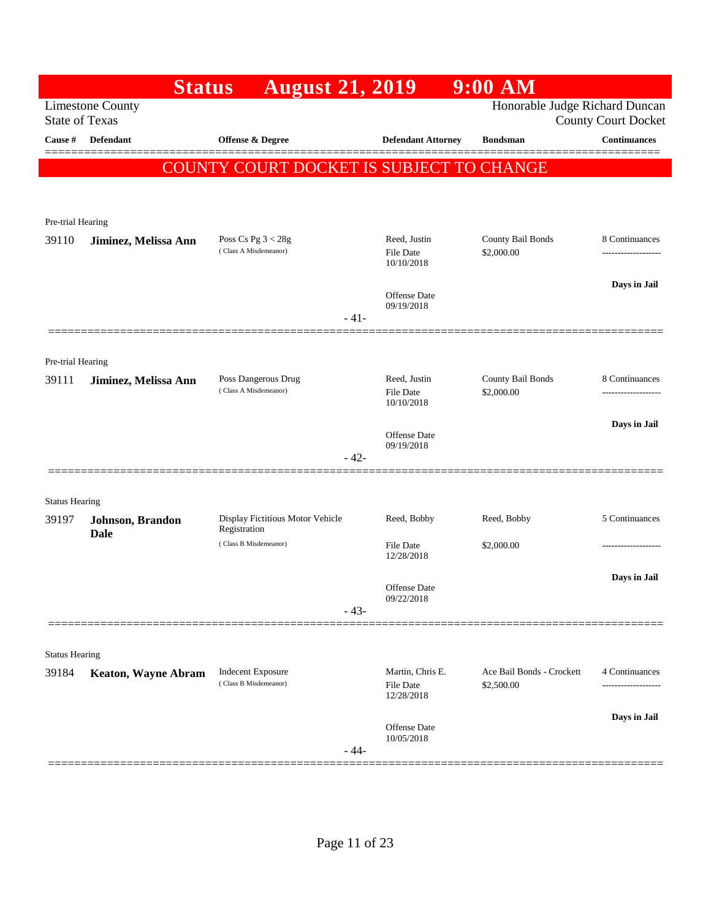| Honorable Judge Richard Duncan<br><b>County Court Docket</b> |
|--------------------------------------------------------------|
| <b>Continuances</b>                                          |
| COUNTY COURT DOCKET IS SUBJECT TO CHANGE                     |
|                                                              |
|                                                              |
|                                                              |
| County Bail Bonds<br>8 Continuances                          |
| Days in Jail                                                 |
|                                                              |
|                                                              |
|                                                              |
| County Bail Bonds<br>8 Continuances                          |
| ------------------                                           |
| Days in Jail                                                 |
|                                                              |
|                                                              |
|                                                              |
| 5 Continuances                                               |
|                                                              |
|                                                              |
| Days in Jail                                                 |
|                                                              |
|                                                              |
|                                                              |
| Ace Bail Bonds - Crockett<br>4 Continuances                  |
| Days in Jail                                                 |
|                                                              |
|                                                              |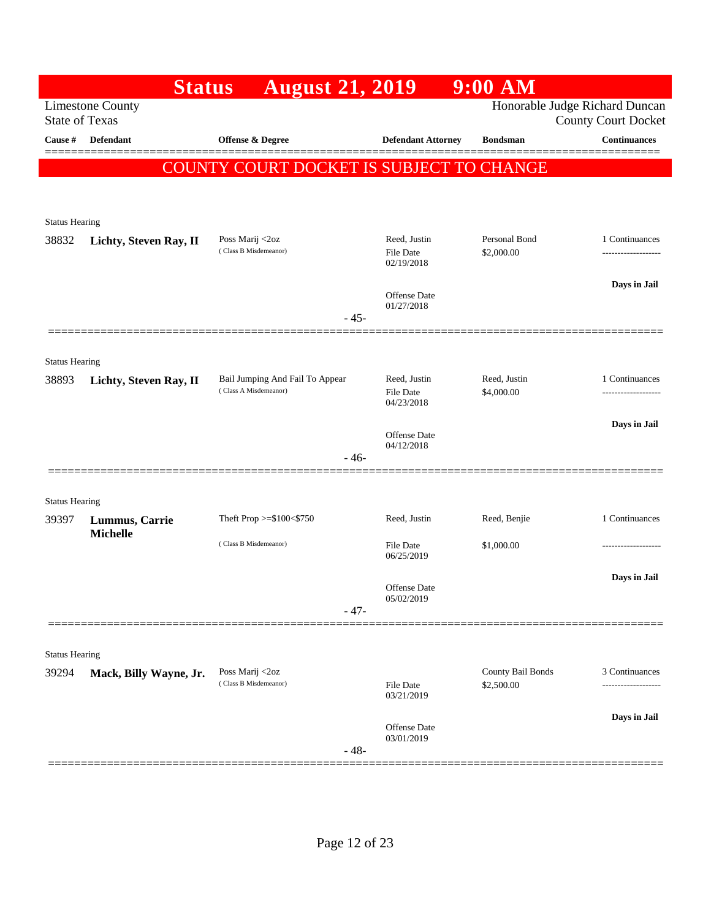|                       | <b>Status</b>           | <b>August 21, 2019</b>                   |                                   | 9:00 AM                         |                                                              |
|-----------------------|-------------------------|------------------------------------------|-----------------------------------|---------------------------------|--------------------------------------------------------------|
| <b>State of Texas</b> | <b>Limestone County</b> |                                          |                                   |                                 | Honorable Judge Richard Duncan<br><b>County Court Docket</b> |
| <b>Cause #</b>        | Defendant               | Offense & Degree                         | <b>Defendant Attorney</b>         | <b>Bondsman</b>                 | <b>Continuances</b>                                          |
|                       |                         | COUNTY COURT DOCKET IS SUBJECT TO CHANGE |                                   |                                 | ======                                                       |
|                       |                         |                                          |                                   |                                 |                                                              |
|                       |                         |                                          |                                   |                                 |                                                              |
| <b>Status Hearing</b> |                         |                                          |                                   |                                 |                                                              |
| 38832                 | Lichty, Steven Ray, II  | Poss Marij <2oz<br>(Class B Misdemeanor) | Reed, Justin<br><b>File Date</b>  | Personal Bond<br>\$2,000.00     | 1 Continuances<br>                                           |
|                       |                         |                                          | 02/19/2018                        |                                 |                                                              |
|                       |                         |                                          |                                   |                                 | Days in Jail                                                 |
|                       |                         |                                          | Offense Date<br>01/27/2018        |                                 |                                                              |
|                       |                         | $-45-$                                   |                                   |                                 |                                                              |
|                       |                         |                                          |                                   |                                 |                                                              |
| <b>Status Hearing</b> |                         | Bail Jumping And Fail To Appear          | Reed, Justin                      | Reed, Justin                    | 1 Continuances                                               |
| 38893                 | Lichty, Steven Ray, II  | (Class A Misdemeanor)                    | <b>File Date</b>                  | \$4,000.00                      |                                                              |
|                       |                         |                                          | 04/23/2018                        |                                 |                                                              |
|                       |                         |                                          | Offense Date                      |                                 | Days in Jail                                                 |
|                       |                         | $-46-$                                   | 04/12/2018                        |                                 |                                                              |
|                       |                         |                                          |                                   |                                 |                                                              |
| <b>Status Hearing</b> |                         |                                          |                                   |                                 |                                                              |
| 39397                 | Lummus, Carrie          | Theft Prop >=\$100<\$750                 | Reed, Justin                      | Reed, Benjie                    | 1 Continuances                                               |
|                       | <b>Michelle</b>         | (Class B Misdemeanor)                    | File Date                         | \$1,000.00                      |                                                              |
|                       |                         |                                          | 06/25/2019                        |                                 |                                                              |
|                       |                         |                                          |                                   |                                 | Days in Jail                                                 |
|                       |                         |                                          | <b>Offense</b> Date<br>05/02/2019 |                                 |                                                              |
|                       |                         | $-47-$                                   |                                   |                                 |                                                              |
|                       |                         |                                          |                                   |                                 |                                                              |
| <b>Status Hearing</b> |                         |                                          |                                   |                                 |                                                              |
| 39294                 | Mack, Billy Wayne, Jr.  | Poss Marij <2oz<br>(Class B Misdemeanor) | File Date                         | County Bail Bonds<br>\$2,500.00 | 3 Continuances                                               |
|                       |                         |                                          | 03/21/2019                        |                                 |                                                              |
|                       |                         |                                          | Offense Date                      |                                 | Days in Jail                                                 |
|                       |                         | $-48-$                                   | 03/01/2019                        |                                 |                                                              |
|                       |                         |                                          |                                   |                                 |                                                              |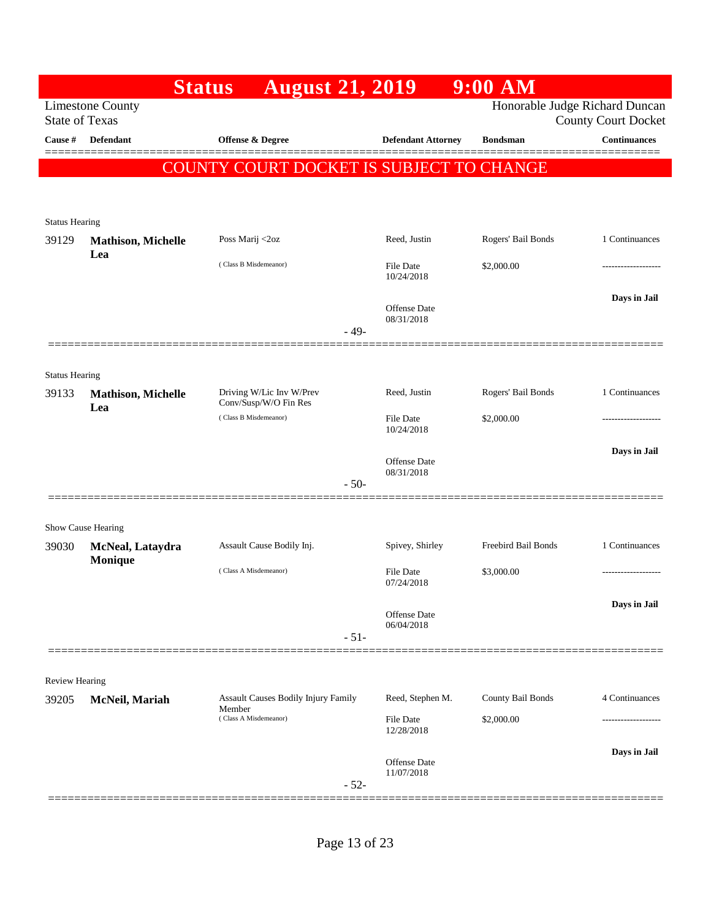|                                |                                                  | <b>August 21, 2019</b><br><b>Status</b>        |                            | $9:00$ AM           |                                                              |
|--------------------------------|--------------------------------------------------|------------------------------------------------|----------------------------|---------------------|--------------------------------------------------------------|
|                                | <b>Limestone County</b><br><b>State of Texas</b> |                                                |                            |                     | Honorable Judge Richard Duncan<br><b>County Court Docket</b> |
| Cause #                        | <b>Defendant</b>                                 | Offense & Degree                               | <b>Defendant Attorney</b>  | <b>Bondsman</b>     | <b>Continuances</b>                                          |
|                                |                                                  | COUNTY COURT DOCKET IS SUBJECT TO CHANGE       |                            |                     |                                                              |
|                                |                                                  |                                                |                            |                     |                                                              |
| <b>Status Hearing</b>          |                                                  |                                                |                            |                     |                                                              |
| 39129                          | <b>Mathison, Michelle</b>                        | Poss Marij <2oz                                | Reed, Justin               | Rogers' Bail Bonds  | 1 Continuances                                               |
|                                | Lea                                              | (Class B Misdemeanor)                          | <b>File Date</b>           | \$2,000.00          | ------------------                                           |
|                                |                                                  |                                                | 10/24/2018                 |                     |                                                              |
|                                |                                                  |                                                | Offense Date<br>08/31/2018 |                     | Days in Jail                                                 |
|                                |                                                  | $-49-$                                         |                            |                     |                                                              |
|                                |                                                  |                                                |                            |                     |                                                              |
| <b>Status Hearing</b><br>39133 | <b>Mathison, Michelle</b>                        | Driving W/Lic Inv W/Prev                       | Reed, Justin               | Rogers' Bail Bonds  | 1 Continuances                                               |
|                                | Lea                                              | Conv/Susp/W/O Fin Res<br>(Class B Misdemeanor) | File Date                  | \$2,000.00          | ------------------                                           |
|                                |                                                  |                                                | 10/24/2018                 |                     |                                                              |
|                                |                                                  |                                                | <b>Offense Date</b>        |                     | Days in Jail                                                 |
|                                |                                                  | $-50-$                                         | 08/31/2018                 |                     |                                                              |
|                                |                                                  |                                                |                            |                     |                                                              |
|                                | Show Cause Hearing                               |                                                |                            |                     |                                                              |
| 39030                          | McNeal, Lataydra<br>Monique                      | Assault Cause Bodily Inj.                      | Spivey, Shirley            | Freebird Bail Bonds | 1 Continuances                                               |
|                                |                                                  | (Class A Misdemeanor)                          | File Date<br>07/24/2018    | \$3,000.00          | -----------------                                            |
|                                |                                                  |                                                | Offense Date               |                     | Days in Jail                                                 |
|                                |                                                  | $-51-$                                         | 06/04/2018                 |                     |                                                              |
|                                |                                                  |                                                |                            |                     |                                                              |
| Review Hearing                 |                                                  |                                                |                            |                     |                                                              |
| 39205                          | McNeil, Mariah                                   | Assault Causes Bodily Injury Family<br>Member  | Reed, Stephen M.           | County Bail Bonds   | 4 Continuances                                               |
|                                |                                                  | (Class A Misdemeanor)                          | File Date<br>12/28/2018    | \$2,000.00          |                                                              |
|                                |                                                  |                                                |                            |                     | Days in Jail                                                 |
|                                |                                                  |                                                | Offense Date<br>11/07/2018 |                     |                                                              |
|                                |                                                  | $-52-$                                         |                            |                     |                                                              |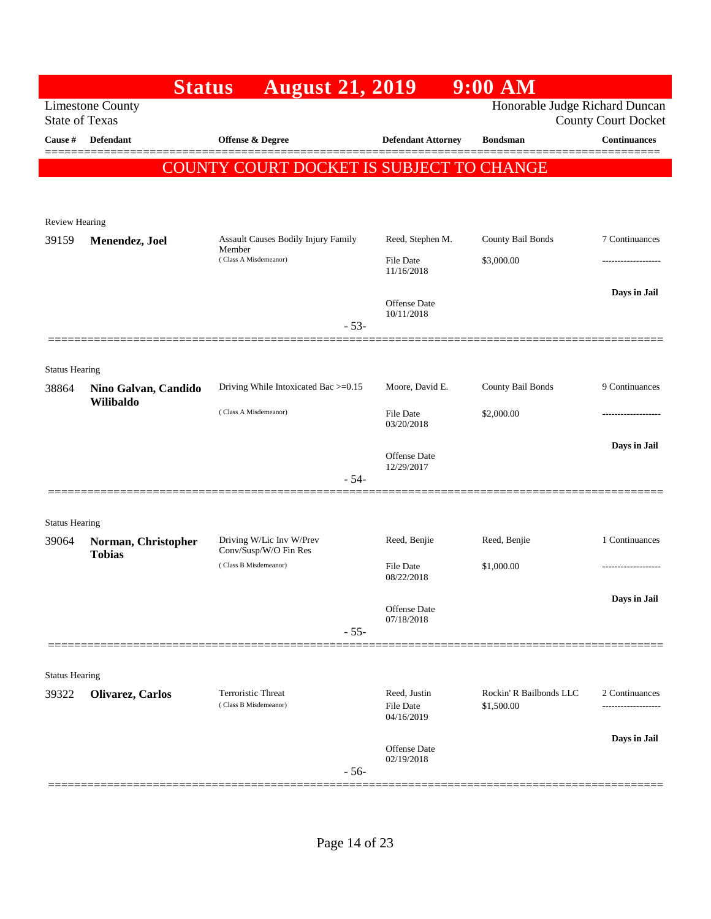|                       | <b>Status</b>                     | <b>August 21, 2019</b>                            |                                | 9:00 AM                        |                            |
|-----------------------|-----------------------------------|---------------------------------------------------|--------------------------------|--------------------------------|----------------------------|
| <b>State of Texas</b> | <b>Limestone County</b>           |                                                   |                                | Honorable Judge Richard Duncan | <b>County Court Docket</b> |
| Cause #               | Defendant                         | <b>Offense &amp; Degree</b>                       | <b>Defendant Attorney</b>      | <b>Bondsman</b>                | <b>Continuances</b>        |
|                       |                                   | COUNTY COURT DOCKET IS SUBJECT TO CHANGE          |                                |                                |                            |
|                       |                                   |                                                   |                                |                                |                            |
| <b>Review Hearing</b> |                                   |                                                   |                                |                                |                            |
| 39159                 | Menendez, Joel                    | <b>Assault Causes Bodily Injury Family</b>        | Reed, Stephen M.               | County Bail Bonds              | 7 Continuances             |
|                       |                                   | Member<br>(Class A Misdemeanor)                   | File Date<br>11/16/2018        | \$3,000.00                     | ----------------           |
|                       |                                   |                                                   |                                |                                | Days in Jail               |
|                       |                                   | $-53-$                                            | Offense Date<br>10/11/2018     |                                |                            |
|                       |                                   |                                                   |                                |                                |                            |
| <b>Status Hearing</b> |                                   |                                                   |                                |                                |                            |
| 38864                 | Nino Galvan, Candido<br>Wilibaldo | Driving While Intoxicated Bac >=0.15              | Moore, David E.                | County Bail Bonds              | 9 Continuances             |
|                       |                                   | (Class A Misdemeanor)                             | File Date<br>03/20/2018        | \$2,000.00                     |                            |
|                       |                                   |                                                   |                                |                                | Days in Jail               |
|                       |                                   |                                                   | Offense Date<br>12/29/2017     |                                |                            |
|                       |                                   | $-54-$                                            |                                |                                |                            |
| <b>Status Hearing</b> |                                   |                                                   |                                |                                |                            |
| 39064                 | Norman, Christopher               | Driving W/Lic Inv W/Prev<br>Conv/Susp/W/O Fin Res | Reed, Benjie                   | Reed, Benjie                   | 1 Continuances             |
|                       | <b>Tobias</b>                     | (Class B Misdemeanor)                             | File Date<br>08/22/2018        | \$1,000.00                     | .                          |
|                       |                                   |                                                   |                                |                                | Days in Jail               |
|                       |                                   |                                                   | Offense Date<br>07/18/2018     |                                |                            |
|                       |                                   | $-55-$                                            |                                |                                |                            |
| <b>Status Hearing</b> |                                   |                                                   |                                |                                |                            |
| 39322                 | Olivarez, Carlos                  | Terroristic Threat                                | Reed, Justin                   | Rockin' R Bailbonds LLC        | 2 Continuances             |
|                       |                                   | (Class B Misdemeanor)                             | <b>File Date</b><br>04/16/2019 | \$1,500.00                     | -----------------          |
|                       |                                   |                                                   | <b>Offense</b> Date            |                                | Days in Jail               |
|                       |                                   | $-56-$                                            | 02/19/2018                     |                                |                            |
|                       |                                   |                                                   |                                |                                |                            |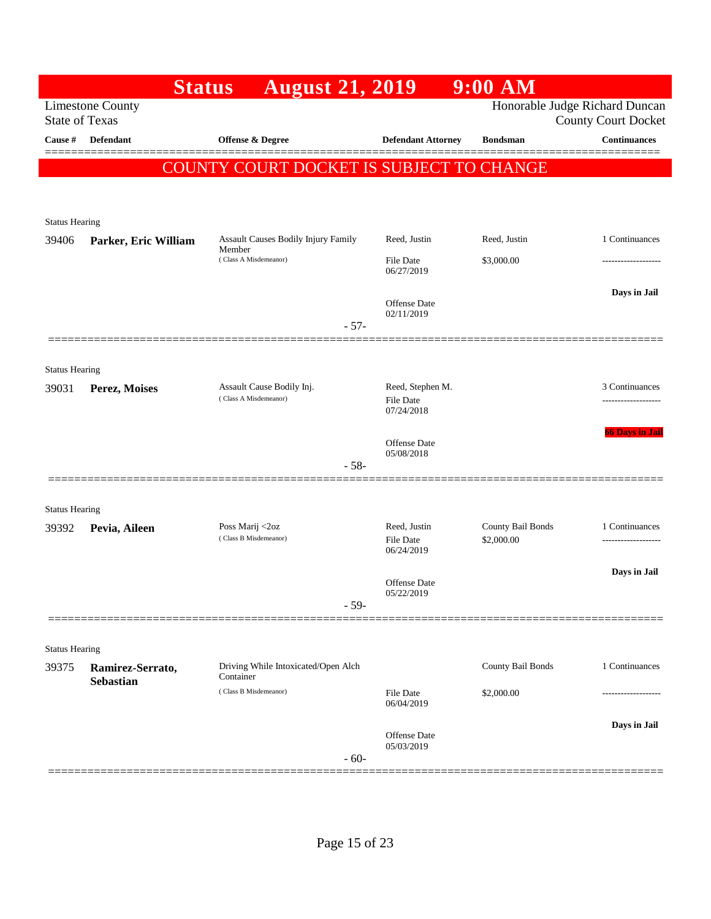|                       | <b>Status</b>                                    | <b>August 21, 2019</b>                                                        |                            | $9:00$ AM         |                                                              |
|-----------------------|--------------------------------------------------|-------------------------------------------------------------------------------|----------------------------|-------------------|--------------------------------------------------------------|
|                       | <b>Limestone County</b><br><b>State of Texas</b> |                                                                               |                            |                   | Honorable Judge Richard Duncan<br><b>County Court Docket</b> |
| Cause #               | Defendant                                        | Offense & Degree                                                              | <b>Defendant Attorney</b>  | <b>Bondsman</b>   | <b>Continuances</b>                                          |
|                       |                                                  | COUNTY COURT DOCKET IS SUBJECT TO CHANGE                                      |                            |                   |                                                              |
|                       |                                                  |                                                                               |                            |                   |                                                              |
|                       |                                                  |                                                                               |                            |                   |                                                              |
| <b>Status Hearing</b> |                                                  |                                                                               |                            |                   |                                                              |
| 39406                 | Parker, Eric William                             | <b>Assault Causes Bodily Injury Family</b><br>Member<br>(Class A Misdemeanor) | Reed, Justin               | Reed, Justin      | 1 Continuances                                               |
|                       |                                                  |                                                                               | File Date<br>06/27/2019    | \$3,000.00        | ----------------                                             |
|                       |                                                  |                                                                               | Offense Date               |                   | Days in Jail                                                 |
|                       |                                                  | $-57-$                                                                        | 02/11/2019                 |                   |                                                              |
|                       |                                                  |                                                                               |                            |                   |                                                              |
| <b>Status Hearing</b> |                                                  |                                                                               |                            |                   |                                                              |
| 39031                 | Perez, Moises                                    | Assault Cause Bodily Inj.                                                     | Reed, Stephen M.           |                   | 3 Continuances                                               |
|                       |                                                  | (Class A Misdemeanor)                                                         | File Date<br>07/24/2018    |                   | ----------------                                             |
|                       |                                                  |                                                                               |                            |                   | <b>66 Days in Jail</b>                                       |
|                       |                                                  |                                                                               | Offense Date<br>05/08/2018 |                   |                                                              |
|                       |                                                  | $-58-$                                                                        |                            |                   |                                                              |
|                       |                                                  |                                                                               |                            |                   |                                                              |
| <b>Status Hearing</b> |                                                  |                                                                               | Reed, Justin               | County Bail Bonds |                                                              |
| 39392                 | Pevia, Aileen                                    | Poss Marij <2oz<br>(Class B Misdemeanor)                                      | <b>File Date</b>           | \$2,000.00        | 1 Continuances                                               |
|                       |                                                  |                                                                               | 06/24/2019                 |                   |                                                              |
|                       |                                                  |                                                                               | Offense Date               |                   | Days in Jail                                                 |
|                       |                                                  | $-59-$                                                                        | 05/22/2019                 |                   |                                                              |
|                       |                                                  |                                                                               |                            |                   |                                                              |
| <b>Status Hearing</b> |                                                  |                                                                               |                            |                   |                                                              |
| 39375                 | Ramirez-Serrato,                                 | Driving While Intoxicated/Open Alch<br>Container                              |                            | County Bail Bonds | 1 Continuances                                               |
|                       | <b>Sebastian</b>                                 | (Class B Misdemeanor)                                                         | File Date                  | \$2,000.00        | ----------------                                             |
|                       |                                                  |                                                                               | 06/04/2019                 |                   |                                                              |
|                       |                                                  |                                                                               | Offense Date<br>05/03/2019 |                   | Days in Jail                                                 |
|                       |                                                  | $-60-$                                                                        |                            |                   |                                                              |
|                       |                                                  |                                                                               |                            |                   |                                                              |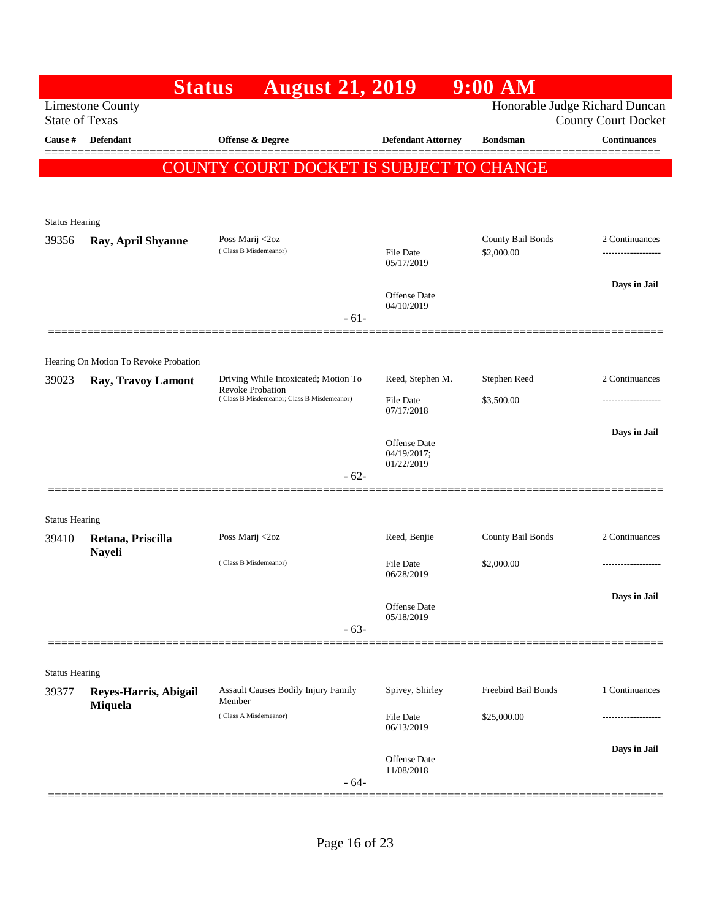|                       | <b>Status</b>                                               | <b>August 21, 2019</b>                                                |                                | $9:00$ AM                       |                                                              |
|-----------------------|-------------------------------------------------------------|-----------------------------------------------------------------------|--------------------------------|---------------------------------|--------------------------------------------------------------|
|                       | <b>Limestone County</b><br><b>State of Texas</b>            |                                                                       |                                |                                 | Honorable Judge Richard Duncan<br><b>County Court Docket</b> |
| Cause #               | <b>Defendant</b>                                            | <b>Offense &amp; Degree</b>                                           | <b>Defendant Attorney</b>      | <b>Bondsman</b>                 | <b>Continuances</b>                                          |
|                       |                                                             | COUNTY COURT DOCKET IS SUBJECT TO CHANGE                              |                                |                                 |                                                              |
|                       |                                                             |                                                                       |                                |                                 |                                                              |
| <b>Status Hearing</b> |                                                             |                                                                       |                                |                                 |                                                              |
| 39356                 | Ray, April Shyanne                                          | Poss Marij <2oz<br>(Class B Misdemeanor)                              | <b>File Date</b>               | County Bail Bonds<br>\$2,000.00 | 2 Continuances<br>-------------------                        |
|                       |                                                             |                                                                       | 05/17/2019                     |                                 |                                                              |
|                       |                                                             |                                                                       | Offense Date                   |                                 | Days in Jail                                                 |
|                       |                                                             | $-61-$                                                                | 04/10/2019                     |                                 |                                                              |
|                       |                                                             |                                                                       |                                |                                 |                                                              |
| 39023                 | Hearing On Motion To Revoke Probation<br>Ray, Travoy Lamont | Driving While Intoxicated; Motion To                                  | Reed, Stephen M.               | Stephen Reed                    | 2 Continuances                                               |
|                       |                                                             | <b>Revoke Probation</b><br>(Class B Misdemeanor; Class B Misdemeanor) | <b>File Date</b>               | \$3,500.00                      |                                                              |
|                       |                                                             |                                                                       | 07/17/2018                     |                                 |                                                              |
|                       |                                                             |                                                                       | Offense Date<br>04/19/2017;    |                                 | Days in Jail                                                 |
|                       |                                                             | $-62-$                                                                | 01/22/2019                     |                                 |                                                              |
|                       |                                                             |                                                                       |                                |                                 |                                                              |
| <b>Status Hearing</b> |                                                             |                                                                       |                                |                                 |                                                              |
| 39410                 | Retana, Priscilla<br><b>Nayeli</b>                          | Poss Marij <2oz                                                       | Reed, Benjie                   | County Bail Bonds               | 2 Continuances                                               |
|                       |                                                             | (Class B Misdemeanor)                                                 | <b>File Date</b><br>06/28/2019 | \$2,000.00                      |                                                              |
|                       |                                                             |                                                                       | Offense Date                   |                                 | Days in Jail                                                 |
|                       |                                                             | $-63-$                                                                | 05/18/2019                     |                                 |                                                              |
|                       |                                                             |                                                                       |                                |                                 |                                                              |
| <b>Status Hearing</b> |                                                             |                                                                       |                                |                                 |                                                              |
| 39377                 | Reyes-Harris, Abigail<br>Miquela                            | Assault Causes Bodily Injury Family<br>Member                         | Spivey, Shirley                | Freebird Bail Bonds             | 1 Continuances                                               |
|                       |                                                             | (Class A Misdemeanor)                                                 | File Date<br>06/13/2019        | \$25,000.00                     |                                                              |
|                       |                                                             |                                                                       |                                |                                 | Days in Jail                                                 |
|                       |                                                             | $-64-$                                                                | Offense Date<br>11/08/2018     |                                 |                                                              |
|                       |                                                             |                                                                       |                                |                                 |                                                              |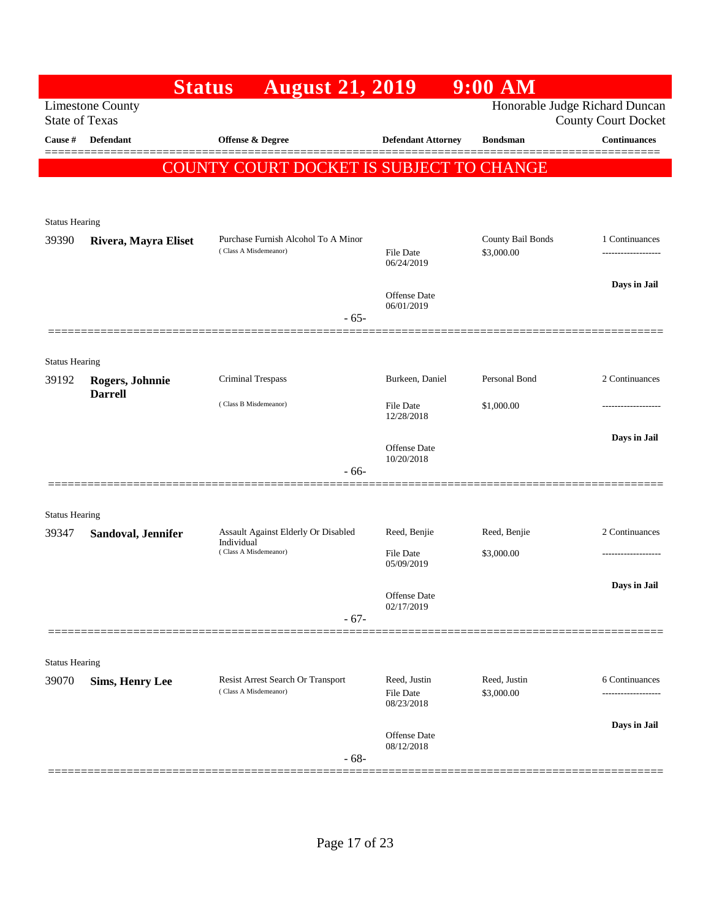|                       | <b>Status</b>                                    | <b>August 21, 2019</b>                                     |                                  | $9:00$ AM                      |                                     |
|-----------------------|--------------------------------------------------|------------------------------------------------------------|----------------------------------|--------------------------------|-------------------------------------|
|                       | <b>Limestone County</b><br><b>State of Texas</b> |                                                            |                                  | Honorable Judge Richard Duncan | <b>County Court Docket</b>          |
| <b>Cause #</b>        | Defendant                                        | Offense & Degree                                           | <b>Defendant Attorney</b>        | <b>Bondsman</b>                | <b>Continuances</b>                 |
|                       |                                                  | COUNTY COURT DOCKET IS SUBJECT TO CHANGE                   |                                  |                                |                                     |
|                       |                                                  |                                                            |                                  |                                |                                     |
| <b>Status Hearing</b> |                                                  |                                                            |                                  |                                |                                     |
| 39390                 | Rivera, Mayra Eliset                             | Purchase Furnish Alcohol To A Minor                        |                                  | County Bail Bonds              | 1 Continuances                      |
|                       |                                                  | (Class A Misdemeanor)                                      | <b>File Date</b><br>06/24/2019   | \$3,000.00                     |                                     |
|                       |                                                  |                                                            | Offense Date                     |                                | Days in Jail                        |
|                       |                                                  | $-65-$                                                     | 06/01/2019                       |                                |                                     |
|                       |                                                  |                                                            |                                  |                                |                                     |
| <b>Status Hearing</b> |                                                  |                                                            |                                  |                                |                                     |
| 39192                 | Rogers, Johnnie<br><b>Darrell</b>                | Criminal Trespass                                          | Burkeen, Daniel                  | Personal Bond                  | 2 Continuances                      |
|                       |                                                  | (Class B Misdemeanor)                                      | File Date<br>12/28/2018          | \$1,000.00                     |                                     |
|                       |                                                  |                                                            |                                  |                                | Days in Jail                        |
|                       |                                                  | $-66-$                                                     | Offense Date<br>10/20/2018       |                                |                                     |
|                       |                                                  |                                                            |                                  |                                |                                     |
| <b>Status Hearing</b> |                                                  |                                                            |                                  |                                |                                     |
| 39347                 | Sandoval, Jennifer                               | Assault Against Elderly Or Disabled<br>Individual          | Reed, Benjie                     | Reed, Benjie                   | 2 Continuances                      |
|                       |                                                  | (Class A Misdemeanor)                                      | <b>File Date</b><br>05/09/2019   | \$3,000.00                     |                                     |
|                       |                                                  |                                                            |                                  |                                | Days in Jail                        |
|                       |                                                  | $-67-$                                                     | Offense Date<br>02/17/2019       |                                |                                     |
|                       |                                                  |                                                            |                                  |                                |                                     |
| <b>Status Hearing</b> |                                                  |                                                            |                                  |                                |                                     |
| 39070                 | <b>Sims, Henry Lee</b>                           | Resist Arrest Search Or Transport<br>(Class A Misdemeanor) | Reed, Justin<br><b>File Date</b> | Reed, Justin<br>\$3,000.00     | 6 Continuances<br>----------------- |
|                       |                                                  |                                                            | 08/23/2018                       |                                |                                     |
|                       |                                                  |                                                            | Offense Date                     |                                | Days in Jail                        |
|                       |                                                  | $-68-$                                                     | 08/12/2018                       |                                |                                     |
|                       |                                                  |                                                            |                                  |                                |                                     |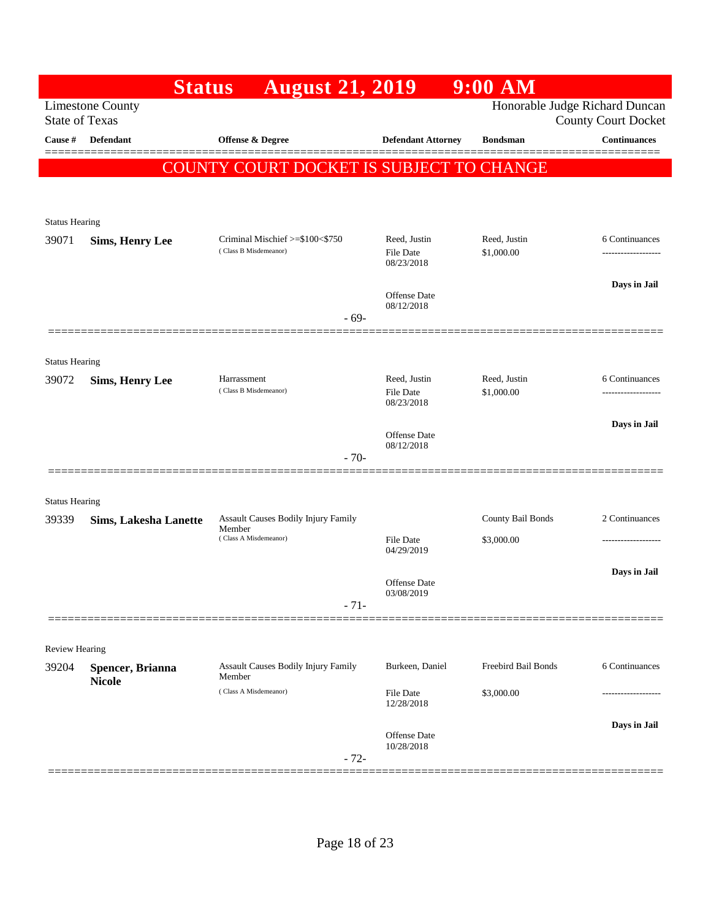|                                | <b>Status</b>                     | <b>August 21, 2019</b>                                   |                                         | $9:00$ AM                  |                                                              |
|--------------------------------|-----------------------------------|----------------------------------------------------------|-----------------------------------------|----------------------------|--------------------------------------------------------------|
| <b>State of Texas</b>          | <b>Limestone County</b>           |                                                          |                                         |                            | Honorable Judge Richard Duncan<br><b>County Court Docket</b> |
| Cause #                        | Defendant                         | Offense & Degree                                         | <b>Defendant Attorney</b>               | <b>Bondsman</b>            | <b>Continuances</b>                                          |
|                                |                                   | COUNTY COURT DOCKET IS SUBJECT TO CHANGE                 |                                         |                            |                                                              |
|                                |                                   |                                                          |                                         |                            |                                                              |
|                                |                                   |                                                          |                                         |                            |                                                              |
| <b>Status Hearing</b>          |                                   |                                                          |                                         |                            |                                                              |
| 39071                          | <b>Sims, Henry Lee</b>            | Criminal Mischief >=\$100<\$750<br>(Class B Misdemeanor) | Reed, Justin<br>File Date<br>08/23/2018 | Reed, Justin<br>\$1,000.00 | 6 Continuances<br>-----------------                          |
|                                |                                   |                                                          | Offense Date<br>08/12/2018              |                            | Days in Jail                                                 |
|                                |                                   | $-69-$                                                   |                                         |                            |                                                              |
|                                |                                   |                                                          |                                         |                            |                                                              |
| <b>Status Hearing</b><br>39072 | <b>Sims, Henry Lee</b>            | Harrassment                                              | Reed, Justin                            | Reed, Justin               | 6 Continuances                                               |
|                                |                                   | (Class B Misdemeanor)                                    | <b>File Date</b><br>08/23/2018          | \$1,000.00                 | -----------------                                            |
|                                |                                   |                                                          |                                         |                            | Days in Jail                                                 |
|                                |                                   |                                                          | Offense Date<br>08/12/2018              |                            |                                                              |
|                                |                                   | $-70-$                                                   |                                         |                            |                                                              |
| <b>Status Hearing</b>          |                                   |                                                          |                                         |                            |                                                              |
| 39339                          | <b>Sims, Lakesha Lanette</b>      | Assault Causes Bodily Injury Family                      |                                         | County Bail Bonds          | 2 Continuances                                               |
|                                |                                   | Member<br>(Class A Misdemeanor)                          | <b>File Date</b><br>04/29/2019          | \$3,000.00                 |                                                              |
|                                |                                   |                                                          | Offense Date                            |                            | Days in Jail                                                 |
|                                |                                   | $-71-$                                                   | 03/08/2019                              |                            |                                                              |
|                                |                                   |                                                          |                                         |                            |                                                              |
| Review Hearing                 |                                   |                                                          |                                         |                            |                                                              |
| 39204                          | Spencer, Brianna<br><b>Nicole</b> | <b>Assault Causes Bodily Injury Family</b><br>Member     | Burkeen, Daniel                         | Freebird Bail Bonds        | 6 Continuances                                               |
|                                |                                   | (Class A Misdemeanor)                                    | File Date<br>12/28/2018                 | \$3,000.00                 | ----------------                                             |
|                                |                                   |                                                          |                                         |                            | Days in Jail                                                 |
|                                |                                   | $-72-$                                                   | Offense Date<br>10/28/2018              |                            |                                                              |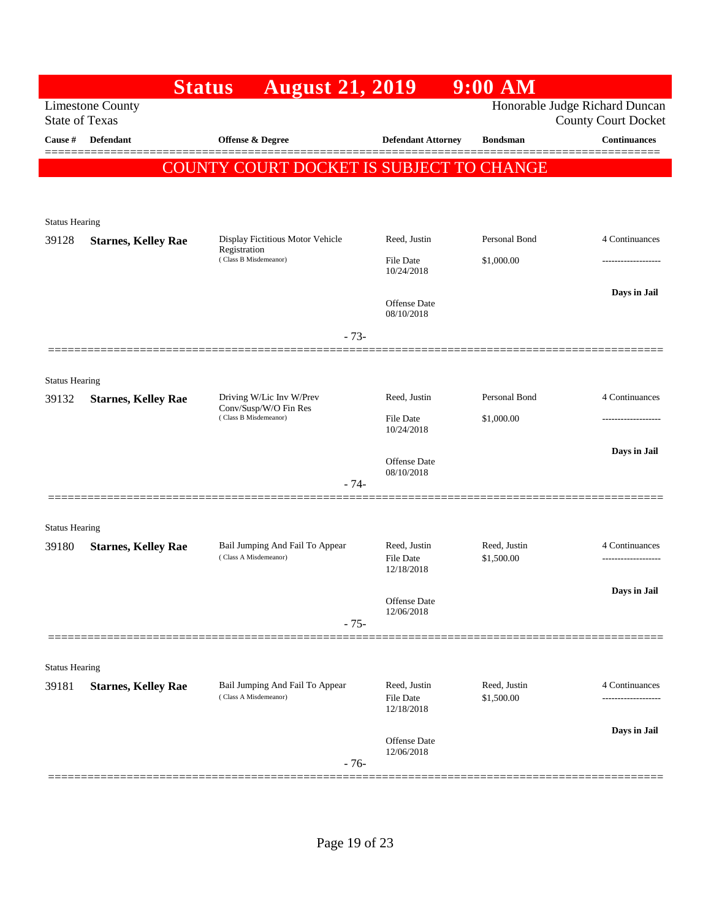|                                |                                                  | <b>Status</b>                                            | <b>August 21, 2019</b> |                                   | 9:00 AM                    |                                                              |
|--------------------------------|--------------------------------------------------|----------------------------------------------------------|------------------------|-----------------------------------|----------------------------|--------------------------------------------------------------|
|                                | <b>Limestone County</b><br><b>State of Texas</b> |                                                          |                        |                                   |                            | Honorable Judge Richard Duncan<br><b>County Court Docket</b> |
| Cause #                        | Defendant                                        | Offense & Degree                                         |                        | <b>Defendant Attorney</b>         | <b>Bondsman</b>            | <b>Continuances</b>                                          |
|                                |                                                  | COUNTY COURT DOCKET IS SUBJECT TO CHANGE                 |                        |                                   |                            |                                                              |
|                                |                                                  |                                                          |                        |                                   |                            |                                                              |
| <b>Status Hearing</b>          |                                                  |                                                          |                        |                                   |                            |                                                              |
| 39128                          | <b>Starnes, Kelley Rae</b>                       | Display Fictitious Motor Vehicle<br>Registration         |                        | Reed, Justin                      | Personal Bond              | 4 Continuances                                               |
|                                |                                                  | (Class B Misdemeanor)                                    |                        | <b>File Date</b><br>10/24/2018    | \$1,000.00                 | -------------------                                          |
|                                |                                                  |                                                          |                        |                                   |                            | Days in Jail                                                 |
|                                |                                                  |                                                          |                        | <b>Offense Date</b><br>08/10/2018 |                            |                                                              |
|                                |                                                  |                                                          | $-73-$                 |                                   |                            |                                                              |
|                                |                                                  |                                                          |                        |                                   |                            |                                                              |
| <b>Status Hearing</b><br>39132 | <b>Starnes, Kelley Rae</b>                       | Driving W/Lic Inv W/Prev                                 |                        | Reed, Justin                      | Personal Bond              | 4 Continuances                                               |
|                                |                                                  | Conv/Susp/W/O Fin Res<br>(Class B Misdemeanor)           |                        | File Date                         | \$1,000.00                 | .                                                            |
|                                |                                                  |                                                          |                        | 10/24/2018                        |                            |                                                              |
|                                |                                                  |                                                          |                        | <b>Offense</b> Date<br>08/10/2018 |                            | Days in Jail                                                 |
|                                |                                                  |                                                          | $-74-$                 |                                   |                            |                                                              |
|                                |                                                  |                                                          |                        |                                   |                            |                                                              |
| <b>Status Hearing</b><br>39180 | <b>Starnes, Kelley Rae</b>                       | Bail Jumping And Fail To Appear                          |                        | Reed, Justin                      | Reed, Justin               | 4 Continuances                                               |
|                                |                                                  | (Class A Misdemeanor)                                    |                        | <b>File Date</b><br>12/18/2018    | \$1,500.00                 |                                                              |
|                                |                                                  |                                                          |                        |                                   |                            | Days in Jail                                                 |
|                                |                                                  |                                                          | $-75-$                 | Offense Date<br>12/06/2018        |                            |                                                              |
|                                |                                                  |                                                          |                        |                                   |                            |                                                              |
| <b>Status Hearing</b>          |                                                  |                                                          |                        |                                   |                            |                                                              |
| 39181                          | <b>Starnes, Kelley Rae</b>                       | Bail Jumping And Fail To Appear<br>(Class A Misdemeanor) |                        | Reed, Justin<br><b>File Date</b>  | Reed, Justin<br>\$1,500.00 | 4 Continuances<br>--------------                             |
|                                |                                                  |                                                          |                        | 12/18/2018                        |                            |                                                              |
|                                |                                                  |                                                          |                        | Offense Date                      |                            | Days in Jail                                                 |
|                                |                                                  |                                                          | $-76-$                 | 12/06/2018                        |                            |                                                              |
|                                |                                                  |                                                          |                        |                                   |                            |                                                              |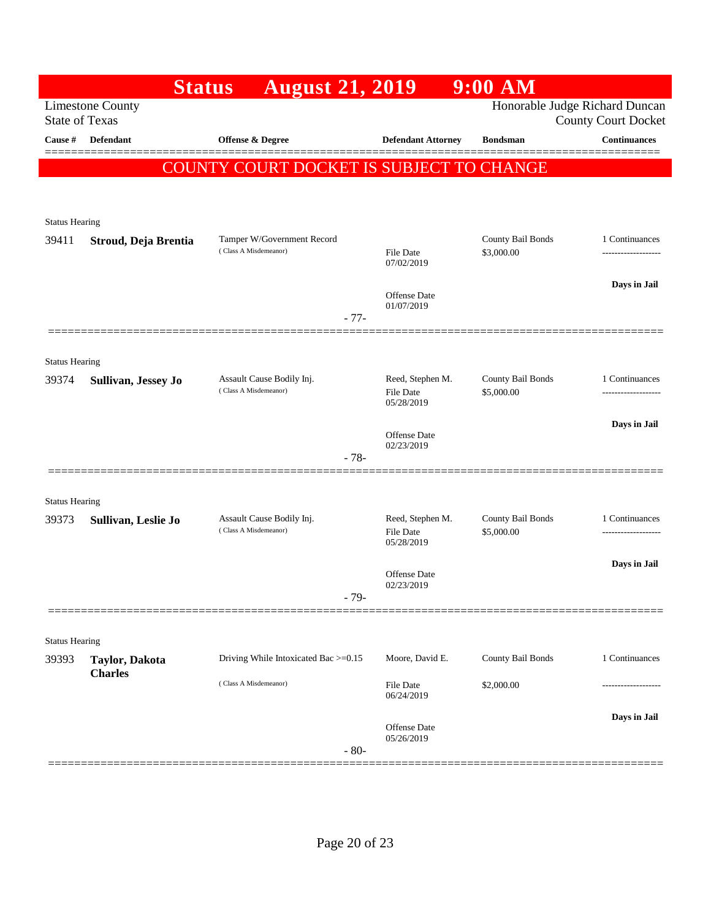|                                | <b>Status</b>                    | <b>August 21, 2019</b>                             |                                | 9:00 AM                         |                                                              |
|--------------------------------|----------------------------------|----------------------------------------------------|--------------------------------|---------------------------------|--------------------------------------------------------------|
| <b>State of Texas</b>          | <b>Limestone County</b>          |                                                    |                                |                                 | Honorable Judge Richard Duncan<br><b>County Court Docket</b> |
| Cause #                        | Defendant                        | <b>Offense &amp; Degree</b>                        | <b>Defendant Attorney</b>      | <b>Bondsman</b>                 | <b>Continuances</b>                                          |
|                                |                                  | COUNTY COURT DOCKET IS SUBJECT TO CHANGE           |                                |                                 |                                                              |
|                                |                                  |                                                    |                                |                                 |                                                              |
|                                |                                  |                                                    |                                |                                 |                                                              |
| <b>Status Hearing</b><br>39411 | Stroud, Deja Brentia             | Tamper W/Government Record                         |                                | County Bail Bonds               | 1 Continuances                                               |
|                                |                                  | (Class A Misdemeanor)                              | <b>File Date</b><br>07/02/2019 | \$3,000.00                      | -------------------                                          |
|                                |                                  |                                                    | <b>Offense</b> Date            |                                 | Days in Jail                                                 |
|                                |                                  | $-77-$                                             | 01/07/2019                     |                                 |                                                              |
|                                |                                  |                                                    |                                |                                 |                                                              |
| <b>Status Hearing</b>          |                                  |                                                    |                                |                                 |                                                              |
| 39374                          | Sullivan, Jessey Jo              | Assault Cause Bodily Inj.<br>(Class A Misdemeanor) | Reed, Stephen M.<br>File Date  | County Bail Bonds<br>\$5,000.00 | 1 Continuances                                               |
|                                |                                  |                                                    | 05/28/2019                     |                                 | Days in Jail                                                 |
|                                |                                  |                                                    | Offense Date<br>02/23/2019     |                                 |                                                              |
|                                |                                  | $-78-$                                             |                                |                                 |                                                              |
| <b>Status Hearing</b>          |                                  |                                                    |                                |                                 |                                                              |
| 39373                          | Sullivan, Leslie Jo              | Assault Cause Bodily Inj.                          | Reed, Stephen M.               | County Bail Bonds               | 1 Continuances                                               |
|                                |                                  | (Class A Misdemeanor)                              | <b>File Date</b><br>05/28/2019 | \$5,000.00                      |                                                              |
|                                |                                  |                                                    | Offense Date                   |                                 | Days in Jail                                                 |
|                                |                                  | $-79-$                                             | 02/23/2019                     |                                 |                                                              |
|                                |                                  |                                                    |                                |                                 |                                                              |
| <b>Status Hearing</b>          |                                  |                                                    |                                |                                 |                                                              |
| 39393                          | Taylor, Dakota<br><b>Charles</b> | Driving While Intoxicated Bac >=0.15               | Moore, David E.                | County Bail Bonds               | 1 Continuances                                               |
|                                |                                  | (Class A Misdemeanor)                              | <b>File Date</b><br>06/24/2019 | \$2,000.00                      |                                                              |
|                                |                                  |                                                    |                                |                                 | Days in Jail                                                 |
|                                |                                  | $-80-$                                             | Offense Date<br>05/26/2019     |                                 |                                                              |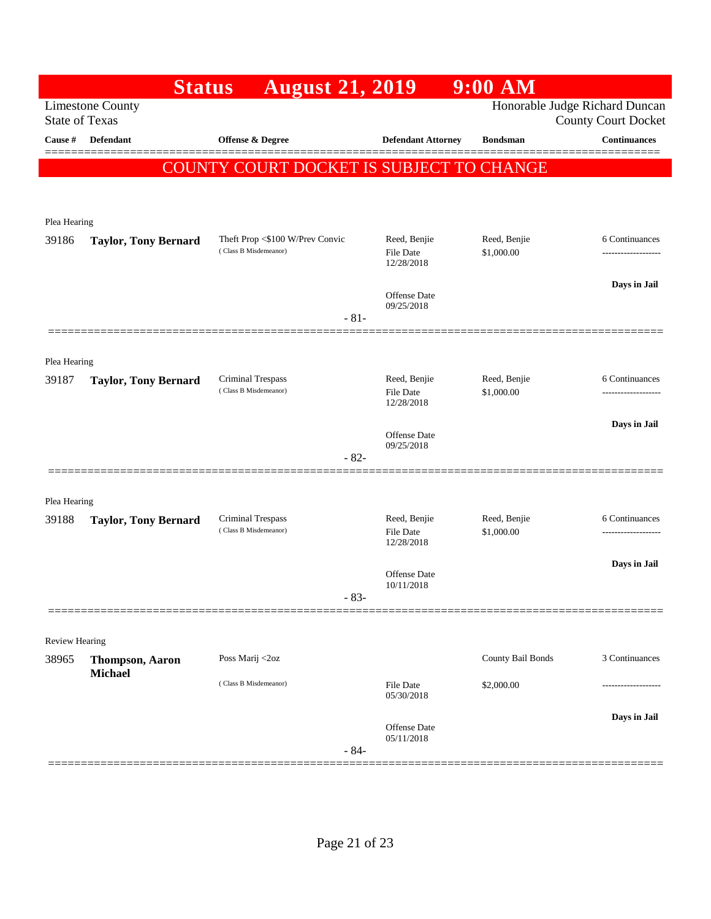|                         | <b>Status</b>               | <b>August 21, 2019</b>                     |                                   | $9:00$ AM                  |                                                              |
|-------------------------|-----------------------------|--------------------------------------------|-----------------------------------|----------------------------|--------------------------------------------------------------|
| <b>State of Texas</b>   | <b>Limestone County</b>     |                                            |                                   |                            | Honorable Judge Richard Duncan<br><b>County Court Docket</b> |
| Cause #                 | Defendant                   | Offense & Degree                           | <b>Defendant Attorney</b>         | <b>Bondsman</b>            | <b>Continuances</b>                                          |
|                         |                             | COUNTY COURT DOCKET IS SUBJECT TO CHANGE   |                                   |                            |                                                              |
|                         |                             |                                            |                                   |                            |                                                              |
| Plea Hearing            |                             |                                            |                                   |                            |                                                              |
| 39186                   | <b>Taylor, Tony Bernard</b> | Theft Prop <\$100 W/Prev Convic            | Reed, Benjie                      | Reed, Benjie               | 6 Continuances                                               |
|                         |                             | (Class B Misdemeanor)                      | File Date<br>12/28/2018           | \$1,000.00                 | -----------------                                            |
|                         |                             |                                            | Offense Date                      |                            | Days in Jail                                                 |
|                         |                             | $-81-$                                     | 09/25/2018                        |                            |                                                              |
|                         |                             |                                            |                                   |                            |                                                              |
| Plea Hearing            |                             |                                            |                                   |                            |                                                              |
| 39187                   | <b>Taylor, Tony Bernard</b> | Criminal Trespass<br>(Class B Misdemeanor) | Reed, Benjie<br><b>File Date</b>  | Reed, Benjie<br>\$1,000.00 | 6 Continuances<br>------------------                         |
|                         |                             |                                            | 12/28/2018                        |                            |                                                              |
|                         |                             |                                            | Offense Date                      |                            | Days in Jail                                                 |
|                         |                             | $-82-$                                     | 09/25/2018                        |                            |                                                              |
|                         |                             |                                            |                                   |                            |                                                              |
| Plea Hearing            |                             |                                            |                                   |                            |                                                              |
| 39188                   | <b>Taylor, Tony Bernard</b> | Criminal Trespass<br>(Class B Misdemeanor) | Reed, Benjie<br>File Date         | Reed, Benjie<br>\$1,000.00 | 6 Continuances<br>.                                          |
|                         |                             |                                            | 12/28/2018                        |                            |                                                              |
|                         |                             |                                            | <b>Offense</b> Date<br>10/11/2018 |                            | Days in Jail                                                 |
|                         |                             | - 83-                                      |                                   |                            |                                                              |
|                         |                             |                                            |                                   |                            |                                                              |
| Review Hearing<br>38965 | <b>Thompson, Aaron</b>      | Poss Marij <2oz                            |                                   | County Bail Bonds          | 3 Continuances                                               |
|                         | <b>Michael</b>              | (Class B Misdemeanor)                      | File Date                         | \$2,000.00                 |                                                              |
|                         |                             |                                            | 05/30/2018                        |                            |                                                              |
|                         |                             |                                            | Offense Date                      |                            | Days in Jail                                                 |
|                         |                             | $-84-$                                     | 05/11/2018                        |                            |                                                              |
|                         |                             |                                            |                                   |                            |                                                              |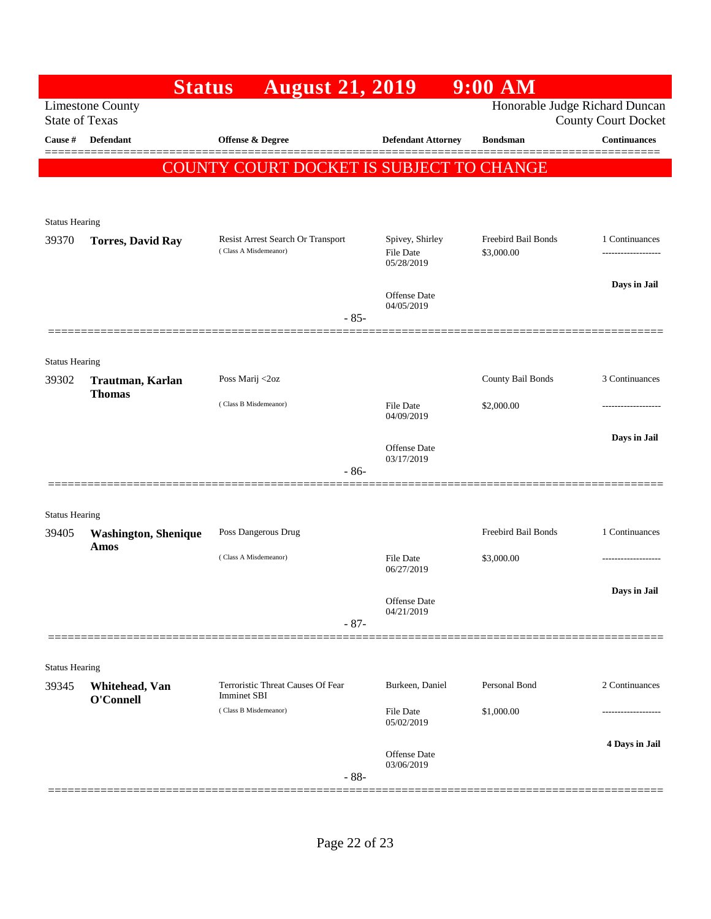|                                | <b>Status</b>                                    | <b>August 21, 2019</b>                                     |                                     | 9:00 AM                           |                            |
|--------------------------------|--------------------------------------------------|------------------------------------------------------------|-------------------------------------|-----------------------------------|----------------------------|
|                                | <b>Limestone County</b><br><b>State of Texas</b> |                                                            |                                     | Honorable Judge Richard Duncan    | <b>County Court Docket</b> |
| <b>Cause #</b>                 | Defendant                                        | Offense & Degree                                           | <b>Defendant Attorney</b>           | <b>Bondsman</b>                   | <b>Continuances</b>        |
|                                |                                                  | COUNTY COURT DOCKET IS SUBJECT TO CHANGE                   |                                     |                                   |                            |
|                                |                                                  |                                                            |                                     |                                   |                            |
| <b>Status Hearing</b>          |                                                  |                                                            |                                     |                                   |                            |
| 39370                          | <b>Torres, David Ray</b>                         | Resist Arrest Search Or Transport<br>(Class A Misdemeanor) | Spivey, Shirley<br><b>File Date</b> | Freebird Bail Bonds<br>\$3,000.00 | 1 Continuances<br>.        |
|                                |                                                  |                                                            | 05/28/2019                          |                                   |                            |
|                                |                                                  |                                                            | <b>Offense</b> Date                 |                                   | Days in Jail               |
|                                |                                                  | $-85-$                                                     | 04/05/2019                          |                                   |                            |
|                                |                                                  |                                                            |                                     |                                   |                            |
| <b>Status Hearing</b><br>39302 | Trautman, Karlan                                 | Poss Marij <2oz                                            |                                     | County Bail Bonds                 | 3 Continuances             |
|                                | <b>Thomas</b>                                    | (Class B Misdemeanor)                                      | File Date                           | \$2,000.00                        | .                          |
|                                |                                                  |                                                            | 04/09/2019                          |                                   |                            |
|                                |                                                  |                                                            | <b>Offense</b> Date<br>03/17/2019   |                                   | Days in Jail               |
|                                |                                                  | $-86-$                                                     |                                     |                                   |                            |
| <b>Status Hearing</b>          |                                                  |                                                            |                                     |                                   |                            |
| 39405                          | <b>Washington, Shenique</b>                      | Poss Dangerous Drug                                        |                                     | Freebird Bail Bonds               | 1 Continuances             |
|                                | Amos                                             | (Class A Misdemeanor)                                      | File Date<br>06/27/2019             | \$3,000.00                        | ----------------           |
|                                |                                                  |                                                            |                                     |                                   | Days in Jail               |
|                                |                                                  |                                                            | Offense Date<br>04/21/2019          |                                   |                            |
|                                |                                                  | $-87-$                                                     |                                     |                                   |                            |
| <b>Status Hearing</b>          |                                                  |                                                            |                                     |                                   |                            |
| 39345                          | Whitehead, Van<br>O'Connell                      | Terroristic Threat Causes Of Fear<br>Imminet SBI           | Burkeen, Daniel                     | Personal Bond                     | 2 Continuances             |
|                                |                                                  | (Class B Misdemeanor)                                      | File Date<br>05/02/2019             | \$1,000.00                        |                            |
|                                |                                                  |                                                            |                                     |                                   | 4 Days in Jail             |
|                                |                                                  | $-88-$                                                     | Offense Date<br>03/06/2019          |                                   |                            |
|                                |                                                  |                                                            |                                     |                                   |                            |